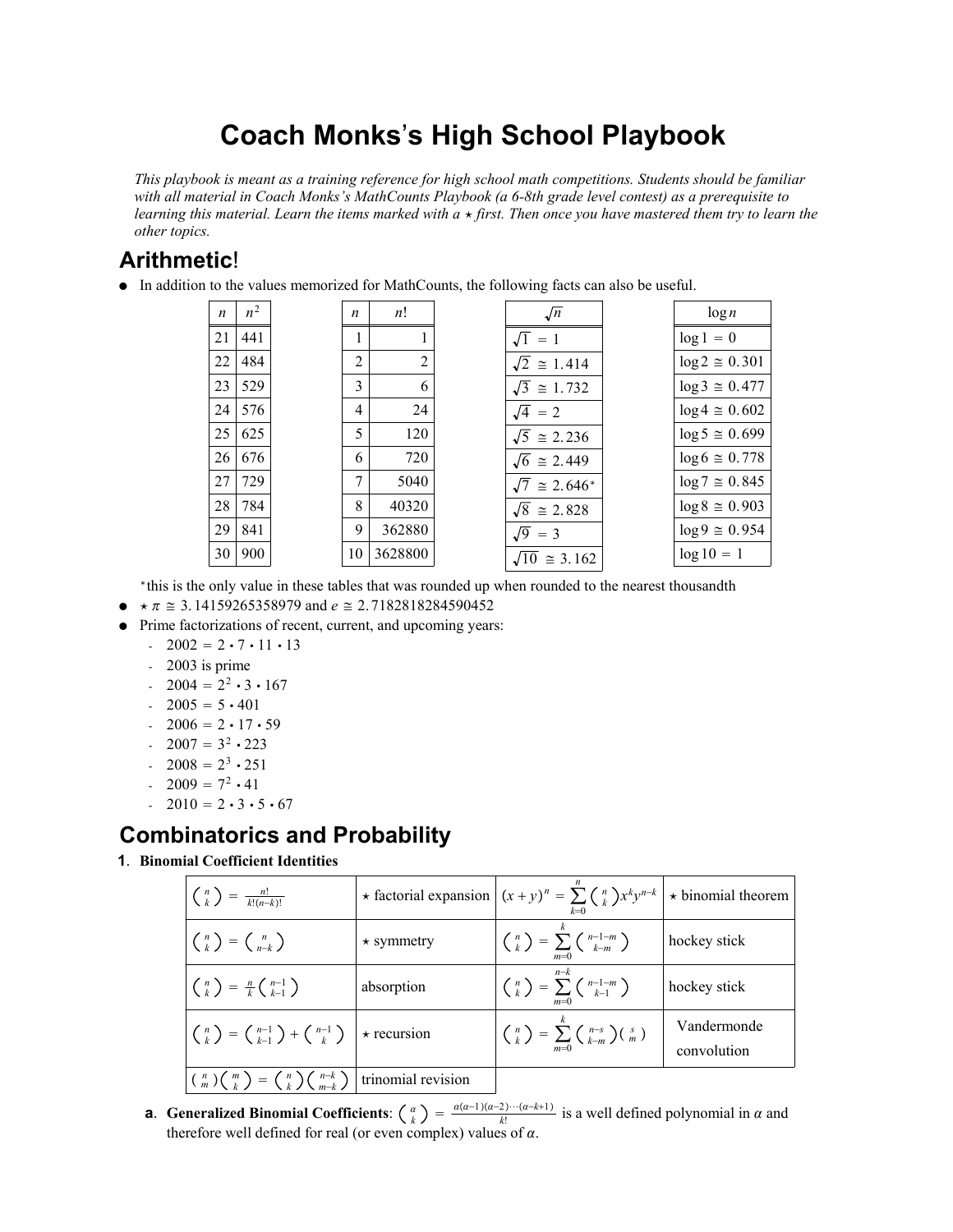# **Coach Monks**'**s High School Playbook**

*This playbook is meant as a training reference for high school math competitions. Students should be familiar with all material in Coach Monks's MathCounts Playbook (a 6-8th grade level contest) as a prerequisite to learning this material. Learn the items marked with*  $a \star$  *first. Then once you have mastered them try to learn the other topics.*

# **Arithmetic**!

In addition to the values memorized for MathCounts, the following facts can also be useful.

| n  | $n^2$ |  |
|----|-------|--|
| 21 | 441   |  |
| 22 | 484   |  |
| 23 | 529   |  |
| 24 | 576   |  |
| 25 | 625   |  |
| 26 | 676   |  |
| 27 | 729   |  |
| 28 | 784   |  |
| 29 | 841   |  |
| 30 | 900   |  |
|    |       |  |

| n  | n!      |
|----|---------|
| 1  | 1       |
| 2  | 2       |
| 3  | 6       |
| 4  | 24      |
| 5  | 120     |
| 6  | 720     |
| 7  | 5040    |
| 8  | 40320   |
| 9  | 362880  |
| 10 | 3628800 |

| $\sqrt{n}$                   | $\log n$               |
|------------------------------|------------------------|
| $\overline{1} = 1$           | $\log 1 = 0$           |
| $\overline{2} \cong 1.414$   | $log 2 \approx 0.301$  |
| $\overline{3} \cong 1.732$   | $\log 3 \approx 0.477$ |
| $\overline{4}$ = 2           | $\log 4 \approx 0.602$ |
| $\overline{5} \cong 2.236$   | $\log 5 \approx 0.699$ |
| $\overline{6} \cong 2.449$   | $\log 6 \approx 0.778$ |
| $\overline{7} \cong 2.646^*$ | $\log 7 \approx 0.845$ |
| $\overline{8} \cong 2.828$   | $\log 8 \approx 0.903$ |
| $\overline{9} = 3$           | $\log 9 \approx 0.954$ |
| $\overline{10} \cong 3.162$  | $log 10 = 1$           |
|                              |                        |

\*this is the only value in these tables that was rounded up when rounded to the nearest thousandth

- $\bullet \quad \star \pi \cong 3.14159265358979$  and  $e \cong 2.7182818284590452$
- Prime factorizations of recent, current, and upcoming years:
	- $-2002 = 2 \cdot 7 \cdot 11 \cdot 13$
	- 2003 is prime
	- $-2004 = 2^2 \cdot 3 \cdot 167$
	- $-2005 = 5 \cdot 401$
	- $-2006 = 2 \cdot 17 \cdot 59$
	- $-2007 = 3^2 \cdot 223$
	- $-2008 = 2^3 \cdot 251$
	- $-2009 = 7^2 \cdot 41$
	- $-2010 = 2 \cdot 3 \cdot 5 \cdot 67$

# **Combinatorics and Probability**

**1**. **Binomial Coefficient Identities**

| $\left(\begin{array}{c}n\\k\end{array}\right) = \frac{n!}{k!(n-k)!}$                                                                                              |                  | $\star$ factorial expansion $(x+y)^n = \sum_{k=0}^{\infty} {n \choose k} x^k y^{n-k}$ $\star$ binomial theorem |                            |  |  |
|-------------------------------------------------------------------------------------------------------------------------------------------------------------------|------------------|----------------------------------------------------------------------------------------------------------------|----------------------------|--|--|
| $\binom{n}{k} = \binom{n}{n-k}$                                                                                                                                   | $\star$ symmetry | $\binom{n}{k} = \sum_{m=0}^{\infty} \binom{n-1-m}{k-m}$                                                        | hockey stick               |  |  |
| $\left(\begin{array}{c}n\\k\end{array}\right) = \frac{n}{k} \left(\begin{array}{c}n-1\\k-1\end{array}\right)$                                                     | absorption       | $\binom{n}{k} = \sum_{k=1}^{n-k} \binom{n-1-m}{k-1}$<br>$m=0$                                                  | hockey stick               |  |  |
| $\left(\begin{array}{c}n\\ k\end{array}\right) = \left(\begin{array}{c}n-1\\ k-1\end{array}\right) + \left(\begin{array}{c}n-1\\ k\end{array}\right)$ + recursion |                  | $\binom{n}{k} = \sum_{m=0}^{k} \binom{n-s}{k-m} \binom{s}{m}$                                                  | Vandermonde<br>convolution |  |  |
| $\binom{n}{m}\binom{m}{k} = \binom{n}{k}\binom{n-k}{m-k}$ trinomial revision                                                                                      |                  |                                                                                                                |                            |  |  |

**a**. Generalized Binomial Coefficients:  $\binom{\alpha}{k} = \frac{\alpha(\alpha-1)(\alpha-2)\cdots(\alpha-k+1)}{k!}$  is a well defined polynomial in  $\alpha$  and therefore well defined for real (or even complex) values of  $\alpha$ .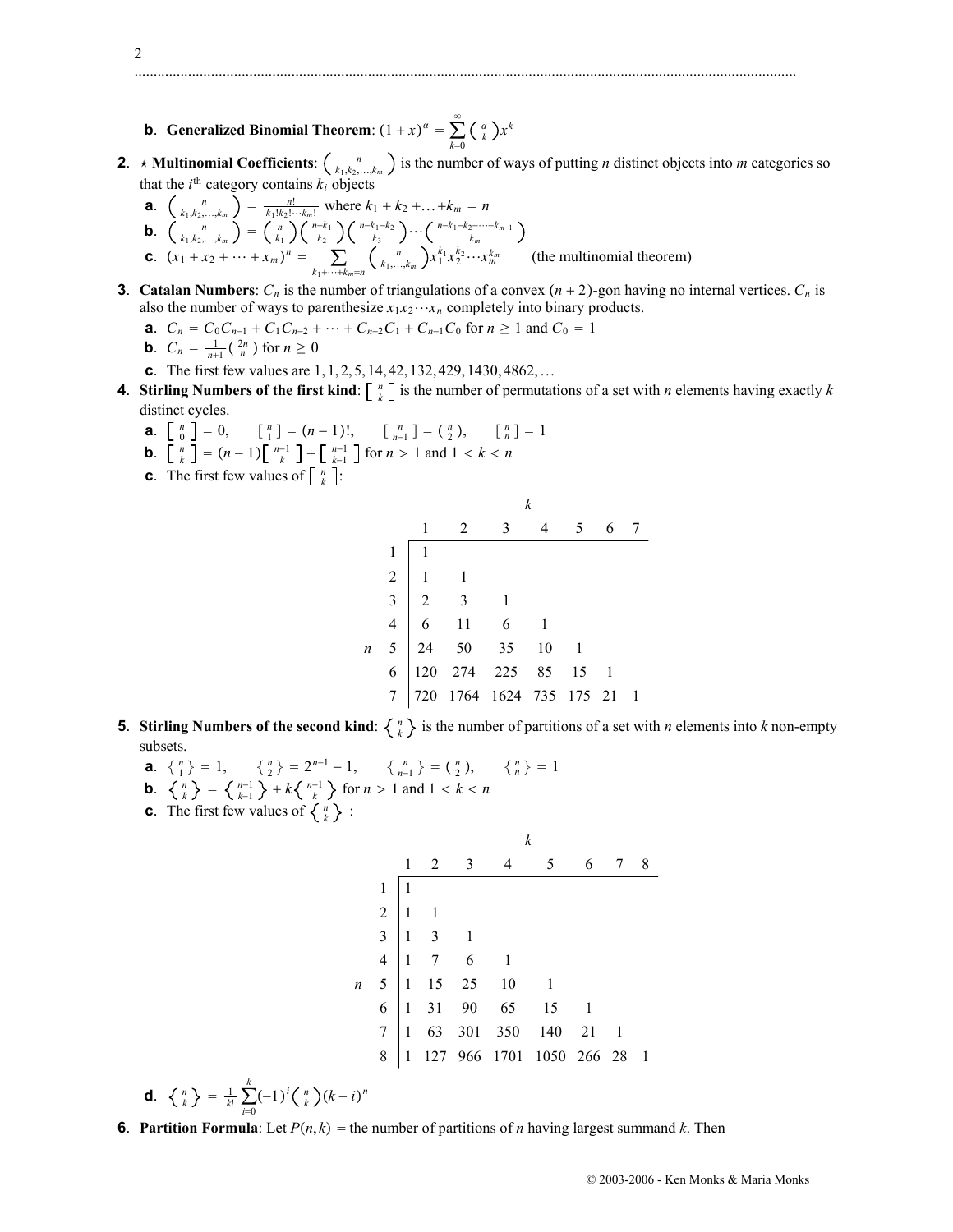- **b**. **Generalized Binomial Theorem**:  $(1 + x)^{\alpha} = \sum_{k=0}^{n}$  $\sum_{k=1}^{\infty}$   $\binom{a}{k}x^k$
- **2**. **\* Multinomial Coefficients**:  $\binom{n}{k_1,k_2,\dots,k_m}$  is the number of ways of putting *n* distinct objects into *m* categories so that the  $i^{\text{th}}$  category contains  $k_i$  objects
	- **a**.  $\binom{n}{k_1,k_2,...,k_m} = \frac{n!}{k_1!k_2!...k_m!}$  where  $k_1 + k_2 + ... + k_m = n$ **b**.  $\binom{n}{k_1,k_2,...,k_m} = \binom{n}{k_1}$ *nk*<sup>1</sup> *k*2  $\binom{n-k_1-k_2}{k_3}$   $\cdots$   $\binom{n-k_1-k_2-\cdots-k_{m-1}}{k_m}$ **c**.  $(x_1 + x_2 + \dots + x_m)^n = \sum_{k_1 + \dots + k_m = n}$  $\binom{n}{k_1,\dots,k_m} x_1^{k_1} x_2^{k_2} \cdots x_m^{k_m}$  (the multinomial theorem)
- **3**. **Catalan Numbers**:  $C_n$  is the number of triangulations of a convex  $(n + 2)$ -gon having no internal vertices.  $C_n$  is also the number of ways to parenthesize  $x_1x_2 \cdots x_n$  completely into binary products.
	- **a**.  $C_n = C_0 C_{n-1} + C_1 C_{n-2} + \dots + C_{n-2} C_1 + C_{n-1} C_0$  for  $n \ge 1$  and  $C_0 = 1$
	- **b**.  $C_n = \frac{1}{n+1} \left( \begin{array}{c} 2n \\ n \end{array} \right)$  for  $n \ge 0$
	- **c**. The first few values are 1, 1, 2, 5, 14, 42, 132, 429, 1430, 4862, ...
- **4**. **Stirling Numbers of the first kind**:  $\begin{bmatrix} n \\ k \end{bmatrix}$  is the number of permutations of a set with *n* elements having exactly *k* distinct cycles.
	- **a**.  $\begin{bmatrix} n \\ 0 \end{bmatrix} = 0$ ,  $\begin{bmatrix} n \\ 1 \end{bmatrix} = (n-1)!$ ,  $\begin{bmatrix} n \\ n-1 \end{bmatrix} = \begin{bmatrix} n \\ 2 \end{bmatrix}$ ,  $\begin{bmatrix} n \\ n \end{bmatrix} = 1$
	- **b**.  $\begin{bmatrix} n \\ k \end{bmatrix} = (n-1) \begin{bmatrix} n-1 \\ k \end{bmatrix} + \begin{bmatrix} n-1 \\ k-1 \end{bmatrix}$  for  $n > 1$  and  $1 < k < n$
	- **c**. The first few values of  $\begin{bmatrix} n \\ k \end{bmatrix}$ :

|   | k |  |  |  |   |   |  |
|---|---|--|--|--|---|---|--|
|   |   |  |  |  | 5 | 6 |  |
|   |   |  |  |  |   |   |  |
|   |   |  |  |  |   |   |  |
|   |   |  |  |  |   |   |  |
|   |   |  |  |  |   |   |  |
| n |   |  |  |  |   |   |  |
|   |   |  |  |  |   |   |  |
|   |   |  |  |  |   |   |  |

- **5**. **Stirling Numbers of the second kind**:  $\begin{Bmatrix} n \\ k \end{Bmatrix}$  is the number of partitions of a set with *n* elements into *k* non-empty subsets.
	- **a**.  $\{n \atop 1}\} = 1, \qquad \{n \atop 2}\} = 2^{n-1} 1, \qquad \{n \atop n-1}\} = \{n \atop 2}\}, \qquad \{n \atop n}\} = 1$
	- **b**.  $\begin{cases} n \\ k \end{cases} = \begin{cases} n-1 \\ k-1 \end{cases} + k \begin{cases} n-1 \\ k \end{cases}$  for  $n > 1$  and  $1 < k < n$
	- **c**. The first few values of  $\left\{ \begin{array}{c} n \\ k \end{array} \right\}$ :

**d**.  $\left\{ \begin{array}{c} n \\ k \end{array} \right\} = \frac{1}{k!} \sum_{i=0}$ 

*k* 12 3 4 5 6 78 1 1 21 1 31 3 1 41 7 6 1 *n* 5 1 15 25 10 1 6 1 31 90 65 15 1 7 1 63 301 350 140 21 1 8 1 127 966 1701 1050 266 28 1 *k* 1 *i n <sup>k</sup> <sup>k</sup> <sup>i</sup><sup>n</sup>*

**6**. **Partition Formula**: Let  $P(n, k)$  = the number of partitions of *n* having largest summand *k*. Then

2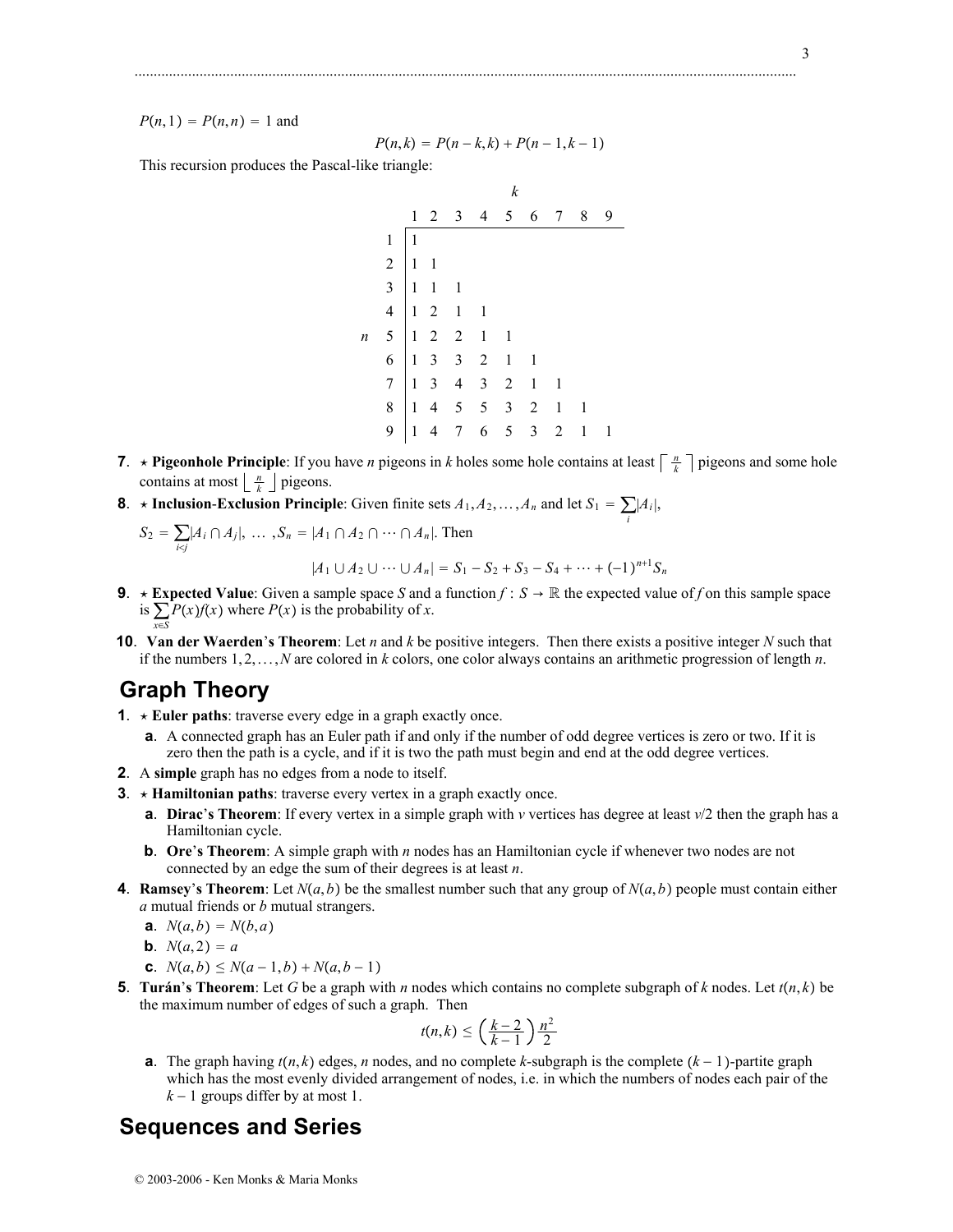$P(n, 1) = P(n, n) = 1$  and

$$
P(n,k) = P(n-k,k) + P(n-1,k-1)
$$

.............................................................................................................................................................................

This recursion produces the Pascal-like triangle:

- *k* 12 3 4 5 6 7 8 9 1 1  $2 \mid 1 \mid 1$  $3 \mid 1 \mid 1 \mid 1$  $4 \mid 1 \quad 2 \quad 1 \quad 1$ *n* 5 12 2 1 1 6 13 3 2 1 1  $7$  1 3 4 3 2 1 1 8 14 5 5 3 2 1 1 9 14 7 6 5 3 2 1 1
- **7**. **\* Pigeonhole Principle**: If you have *n* pigeons in *k* holes some hole contains at least  $\left\lceil \frac{n}{k} \right\rceil$  pigeons and some hole contains at most  $\left\lfloor \frac{n}{k} \right\rfloor$  pigeons.
- **8**.  $\star$  **Inclusion-Exclusion Principle**: Given finite sets  $A_1, A_2, ..., A_n$  and let  $S_1 = \sum_i |A_i|$ ,

$$
S_2 = \sum_{i \le j} |A_i \cap A_j|, \dots, S_n = |A_1 \cap A_2 \cap \dots \cap A_n|. \text{ Then}
$$
  

$$
|A_1 \cup A_2 \cup \dots \cup A_n| = S_1 - S_2 + S_3 - S_4 + \dots + (-1)^{n+1} S_n
$$

**9.** 
$$
\star
$$
 **Expected Value**: Given a sample space S and a function  $f : S \to \mathbb{R}$  the expected value of f on this sample space is  $\sum P(x) f(x)$  where  $P(x)$  is the probability of x.

- is  $\sum_{x \in S} P(x) f(x)$  where  $P(x)$  is the probability of *x*. **10**. **Van der Waerden**'**s Theorem**: Let *n* and *k* be positive integers. Then there exists a positive integer *N* such that
- if the numbers 1, 2,...,*N* are colored in *k* colors, one color always contains an arithmetic progression of length *n*.

# **Graph Theory**

- **1.**  $\star$  **Euler paths**: traverse every edge in a graph exactly once.
	- **a**. A connected graph has an Euler path if and only if the number of odd degree vertices is zero or two. If it is zero then the path is a cycle, and if it is two the path must begin and end at the odd degree vertices.
- **2**. A **simple** graph has no edges from a node to itself.
- **3**. ★ **Hamiltonian paths**: traverse every vertex in a graph exactly once.
	- **a**. **Dirac**'**s Theorem**: If every vertex in a simple graph with *v* vertices has degree at least *v*/2 then the graph has a Hamiltonian cycle.
	- **b.** Ore's Theorem: A simple graph with *n* nodes has an Hamiltonian cycle if whenever two nodes are not connected by an edge the sum of their degrees is at least *n*.
- **4**. **Ramsey's Theorem**: Let  $N(a, b)$  be the smallest number such that any group of  $N(a, b)$  people must contain either *a* mutual friends or *b* mutual strangers.
	- **a**.  $N(a,b) = N(b,a)$
	- **b**.  $N(a, 2) = a$
	- **c**.  $N(a,b) \leq N(a-1,b) + N(a,b-1)$
- **5**. **Turán**'s **Theorem**: Let *G* be a graph with *n* nodes which contains no complete subgraph of *k* nodes. Let  $t(n, k)$  be the maximum number of edges of such a graph. Then

$$
t(n,k) \leq \left(\frac{k-2}{k-1}\right) \frac{n^2}{2}
$$

**a**. The graph having  $t(n, k)$  edges, *n* nodes, and no complete *k*-subgraph is the complete  $(k - 1)$ -partite graph which has the most evenly divided arrangement of nodes, i.e. in which the numbers of nodes each pair of the  $k-1$  groups differ by at most 1.

# **Sequences and Series**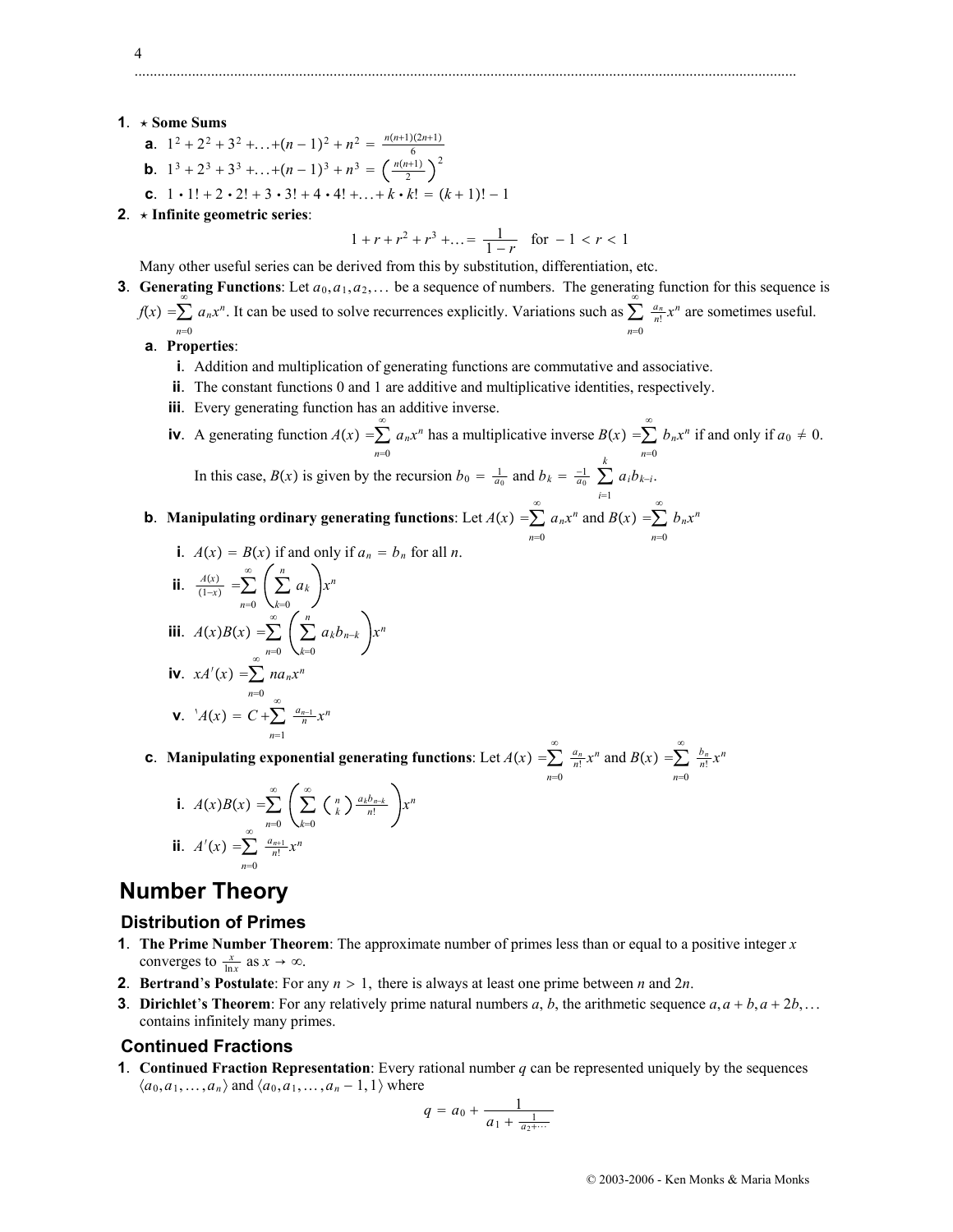- **1.**  $\star$  Some Sums
	- **a**.  $1^2 + 2^2 + 3^2 + \ldots + (n-1)^2 + n^2 = \frac{n(n+1)(2n+1)}{6}$
	- **b**.  $1^3 + 2^3 + 3^3 + \ldots + (n-1)^3 + n^3 = \left(\frac{n(n+1)}{2}\right)$
	- **c**.  $1 \cdot 1! + 2 \cdot 2! + 3 \cdot 3! + 4 \cdot 4! + \dots + k \cdot k! = (k+1)! 1$
- **2**. **Infinite geometric series**:

$$
1 + r + r^2 + r^3 + \dots = \frac{1}{1 - r} \quad \text{for } -1 < r < 1
$$

Many other useful series can be derived from this by substitution, differentiation, etc.

**3**. **Generating Functions**: Let  $a_0, a_1, a_2, \ldots$  be a sequence of numbers. The generating function for this sequence is

.............................................................................................................................................................................

- $f(x) = \sum_{n=0}^{\infty} a_n x^n$ . It can be used to solve recurrences explicitly. Variations such as  $\sum_{n=0}^{\infty} \frac{a_n}{n!} x^n$  are sometimes useful.  $n=0$ *n*=0
	- **a**. **Properties**:
		- **i**. Addition and multiplication of generating functions are commutative and associative.

2

- **ii**. The constant functions 0 and 1 are additive and multiplicative identities, respectively.
- **iii**. Every generating function has an additive inverse.

**iv**. A generating function  $A(x) = \sum_{n=1}^{\infty}$ *n*=0  $\sum_{n=1}^{\infty} a_n x^n$  has a multiplicative inverse  $B(x) = \sum_{n=1}^{\infty}$ *n*=0  $\sum b_n x^n$  if and only if  $a_0 \neq 0$ . In this case,  $B(x)$  is given by the recursion  $b_0 = \frac{1}{a_0}$  and  $b_k = \frac{-1}{a_0}$ *k*  $\sum a_i b_{k-i}$ .

#### *i*=1 **b**. Manipulating ordinary generating functions: Let  $A(x) = \sum_{n=1}^{\infty} A(n)$  $n=0$  $\sum_{n=1}^{\infty} a_n x^n$  and  $B(x) = \sum_{n=1}^{\infty}$ *n*=0  $\sum b_n x^n$

**i**.  $A(x) = B(x)$  if and only if  $a_n = b_n$  for all *n*.

**ii.** 
$$
\frac{A(x)}{(1-x)} = \sum_{n=0}^{\infty} \left(\sum_{k=0}^{n} a_k\right) x^n
$$
  
\n**iii.**  $A(x)B(x) = \sum_{n=0}^{\infty} \left(\sum_{k=0}^{n} a_k b_{n-k}\right) x^n$   
\n**iv.**  $xA'(x) = \sum_{n=0}^{\infty} n a_n x^n$   
\n**v.**  $A(x) = C + \sum_{n=1}^{\infty} \frac{a_{n-1}}{n} x^n$ 

**c**. Manipulating exponential generating functions: Let  $A(x) = \sum^{\infty}$ *n*=0  $\sum_{n=1}^{\infty} \frac{a_n}{n!} x^n$  and  $B(x) = \sum_{n=1}^{\infty}$  $n=0$  $\sum \frac{b_n}{n!}x^n$ 

**i.** 
$$
A(x)B(x) = \sum_{n=0}^{\infty} \left( \sum_{k=0}^{\infty} {n \choose k} \frac{a_k b_{n-k}}{n!} \right) x^n
$$
  
\n**ii.**  $A'(x) = \sum_{n=0}^{\infty} \frac{a_{n+1}}{n!} x^n$ 

# **Number Theory**

#### **Distribution of Primes**

- **1**. **The Prime Number Theorem**: The approximate number of primes less than or equal to a positive integer *x* converges to  $\frac{x}{\ln x}$  as  $x \to \infty$ .
- **2**. **Bertrand**'s **Postulate**: For any  $n > 1$ , there is always at least one prime between *n* and 2*n*.
- **3**. **Dirichlet**'s Theorem: For any relatively prime natural numbers *a*, *b*, the arithmetic sequence  $a, a + b, a + 2b, \ldots$ contains infinitely many primes.

#### **Continued Fractions**

**1**. **Continued Fraction Representation**: Every rational number *q* can be represented uniquely by the sequences  $\langle a_0, a_1, \ldots, a_n \rangle$  and  $\langle a_0, a_1, \ldots, a_n - 1, 1 \rangle$  where

$$
q = a_0 + \frac{1}{a_1 + \frac{1}{a_2 + \dotsb}}
$$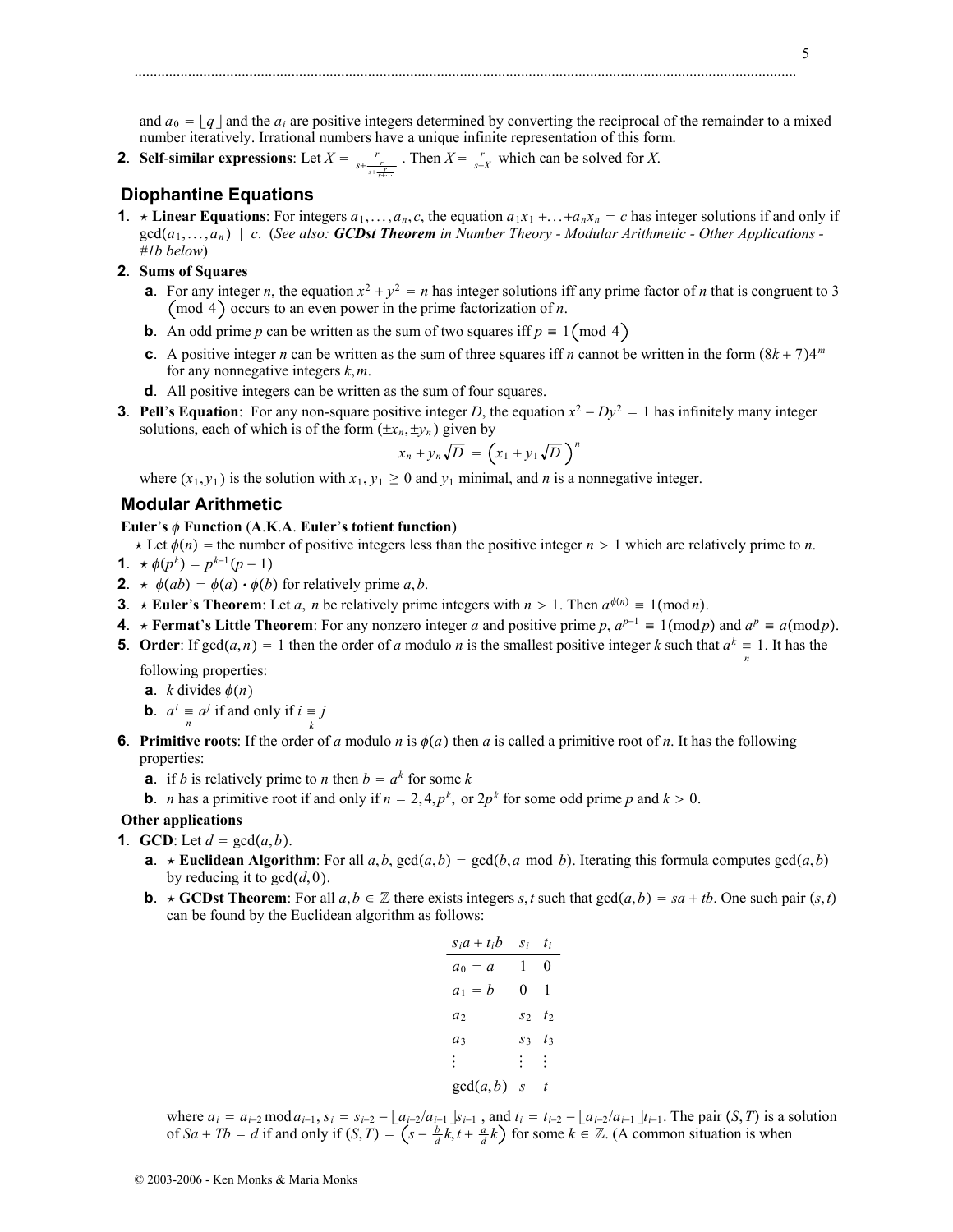and  $a_0 = |q|$  and the  $a_i$  are positive integers determined by converting the reciprocal of the remainder to a mixed number iteratively. Irrational numbers have a unique infinite representation of this form.

**2**. **Self-similar expressions**: Let  $X = \frac{r}{s + \frac{r}{s + \frac{r}{s + \dots}}}$ . Then  $X = \frac{r}{s+X}$  which can be solved for *X*.

# **Diophantine Equations**

- **1**.  $\star$  **Linear Equations**: For integers  $a_1, \ldots, a_n, c$ , the equation  $a_1x_1 + \ldots + a_nx_n = c$  has integer solutions if and only if gcd*a*1,...,*an c*. (*See also: GCDst Theorem in Number Theory - Modular Arithmetic - Other Applications - #1b below*)
- **2**. **Sums of Squares**
	- **a**. For any integer *n*, the equation  $x^2 + y^2 = n$  has integer solutions iff any prime factor of *n* that is congruent to 3 (mod 4) occurs to an even power in the prime factorization of  $n$ .
	- **b**. An odd prime *p* can be written as the sum of two squares iff  $p \equiv 1 \pmod{4}$
	- **c**. A positive integer *n* can be written as the sum of three squares iff *n* cannot be written in the form  $(8k + 7)4^m$ for any nonnegative integers *k*,*m*.
	- **d**. All positive integers can be written as the sum of four squares.
- **3**. **Pell**'**s Equation**: For any non-square positive integer *D*, the equation  $x^2 Dy^2 = 1$  has infinitely many integer solutions, each of which is of the form  $(\pm x_n, \pm y_n)$  given by

$$
x_n + y_n \sqrt{D} = \left(x_1 + y_1 \sqrt{D}\right)^n
$$

where  $(x_1, y_1)$  is the solution with  $x_1, y_1 \ge 0$  and  $y_1$  minimal, and *n* is a nonnegative integer.

# **Modular Arithmetic**

#### **Euler**'s  $\phi$  **Function** (A.K.A. **Euler**'s totient function)

- $\star$  Let  $\phi(n)$  = the number of positive integers less than the positive integer  $n > 1$  which are relatively prime to *n*.
- **1**.  $\star \phi(p^k) = p^{k-1}(p-1)$
- **2**.  $\star \phi(ab) = \phi(a) \cdot \phi(b)$  for relatively prime *a*,*b*.
- **3**. **\* Euler's Theorem**: Let *a*, *n* be relatively prime integers with  $n > 1$ . Then  $a^{\phi(n)} \equiv 1 \pmod{n}$ .
- **4**. **\*** Fermat's Little Theorem: For any nonzero integer *a* and positive prime *p*,  $a^{p-1} \equiv 1 \pmod{p}$  and  $a^p \equiv a \pmod{p}$ .
- **5**. Order: If  $gcd(a, n) = 1$  then the order of *a* modulo *n* is the smallest positive integer *k* such that  $a^k \equiv 1$ . It has the *n*

following properties:

**a**. *k* divides  $\phi(n)$ 

- **b**.  $a^i \equiv a^j$  if and only if  $i \equiv j$
- **6**. **Primitive roots**: If the order of *a* modulo *n* is  $\phi(a)$  then *a* is called a primitive root of *n*. It has the following properties:
	- **a**. if *b* is relatively prime to *n* then  $b = a^k$  for some *k*
	- **b**. *n* has a primitive root if and only if  $n = 2, 4, p^k$ , or  $2p^k$  for some odd prime *p* and  $k > 0$ .

### **Other applications**

- **1**. **GCD**: Let  $d = \gcd(a, b)$ .
	- **a**. **\*** Euclidean Algorithm: For all  $a, b, \gcd(a, b) = \gcd(b, a \mod b)$ . Iterating this formula computes  $\gcd(a, b)$ by reducing it to  $gcd(d, 0)$ .
	- **b**.  $\star$  **GCDst Theorem**: For all  $a, b \in \mathbb{Z}$  there exists integers *s*, *t* such that  $gcd(a, b) = sa + tb$ . One such pair  $(s, t)$ can be found by the Euclidean algorithm as follows:

| $S_i a + t_i b$ | S i            | t i              |
|-----------------|----------------|------------------|
| $a_0 = a$       | 1              | 0                |
| $a_1 = b$       | 0              | 1                |
| $a_2$           | S <sub>2</sub> | $t_2$            |
| $a_3$           | $S_3$          | t٦               |
| : .             | H.             | ÷.               |
| gcd(a, b)       | S              | $\boldsymbol{t}$ |

where  $a_i = a_{i-2} \mod a_{i-1}$ ,  $s_i = s_{i-2} - \lfloor a_{i-2}/a_{i-1} \rfloor s_{i-1}$ , and  $t_i = t_{i-2} - \lfloor a_{i-2}/a_{i-1} \rfloor t_{i-1}$ . The pair  $(S, T)$  is a solution of  $Sa + Tb = d$  if and only if  $(S, T) = (s - \frac{b}{d}k, t + \frac{a}{d}k)$  for some  $k \in \mathbb{Z}$ . (A common situation is when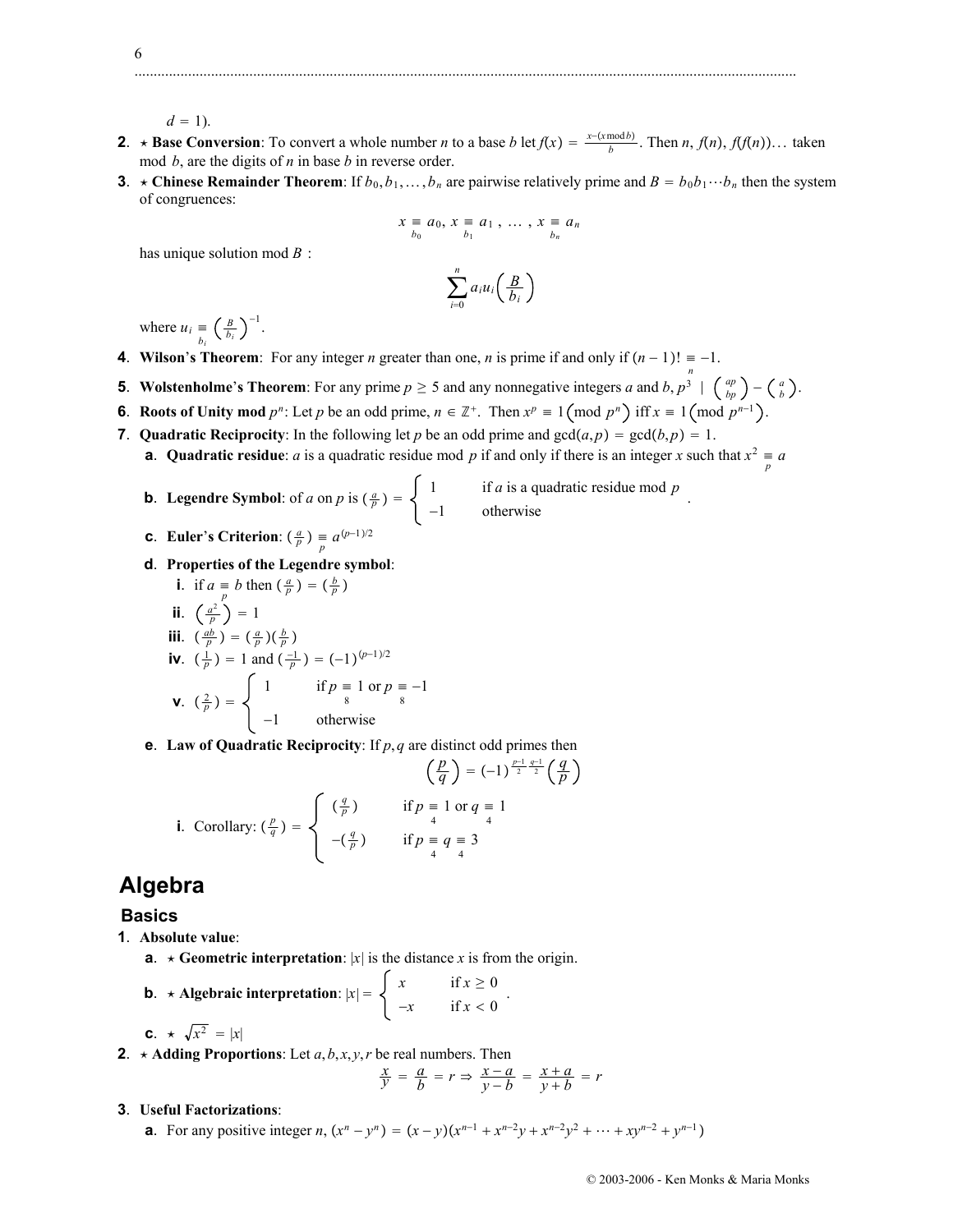$d = 1$ ).

**2**. **\*** Base Conversion: To convert a whole number *n* to a base *b* let  $f(x) = \frac{x - (x \mod b)}{b}$ . Then *n*,  $f(n)$ ,  $f(f(n))$ ... taken mod *b*, are the digits of *n* in base *b* in reverse order.

.............................................................................................................................................................................

**3**.  $\star$  **Chinese Remainder Theorem**: If  $b_0, b_1, \ldots, b_n$  are pairwise relatively prime and  $B = b_0 b_1 \cdots b_n$  then the system of congruences:

$$
x \equiv a_0, x \equiv a_1, \ldots, x \equiv a_n
$$
  

$$
b_0
$$

has unique solution mod *B* :

$$
\sum_{i=0}^n a_i u_i \left(\frac{B}{b_i}\right)
$$

where  $u_i \equiv \left(\frac{B}{b_i}\right)$  $\overline{a}$ <sup>1</sup>

- **4**. **Wilson's Theorem**: For any integer *n* greater than one, *n* is prime if and only if  $(n-1)! = -1$ .
- **5**. **Wolstenholme**'s Theorem: For any prime  $p \ge 5$  and any nonnegative integers *a* and *b*,  $p^3 \mid {np \choose bp} {a \choose b}$ .
- **6**. **Roots of Unity mod**  $p^n$ : Let  $p$  be an odd prime,  $n \in \mathbb{Z}^+$ . Then  $x^p \equiv 1 \pmod{p^n}$  iff  $x \equiv 1 \pmod{p^{n-1}}$ .
- **7. Quadratic Reciprocity**: In the following let *p* be an odd prime and  $gcd(a, p) = gcd(b, p) = 1$ .
	- **a**. **Quadratic residue**: *a* is a quadratic residue mod *p* if and only if there is an integer *x* such that  $x^2 = a$ 
		- **b**. **Legendre Symbol**: of *a* on *p* is  $\left(\frac{a}{p}\right) = \begin{cases} 1 & \text{if } a \text{ is a quadratic residue mod } p \\ -1 & \text{otherwise} \end{cases}$ .

$$
\bullet \qquad (a) \qquad (b,1)/2
$$

- **c**. **Euler**'**s Criterion**:  $\left(\frac{a}{p}\right) \equiv a^{(p-1)/2}$
- **d**. **Properties of the Legendre symbol**:

i. if 
$$
a = b
$$
 then  $\left(\frac{a}{p}\right) = \left(\frac{b}{p}\right)$   
\nii.  $\left(\frac{a^{\frac{b}{p}}}{p}\right) = 1$   
\niii.  $\left(\frac{ab}{p}\right) = \left(\frac{a}{p}\right)\left(\frac{b}{p}\right)$   
\niv.  $\left(\frac{1}{p}\right) = 1$  and  $\left(\frac{-1}{p}\right) = (-1)^{(p-1)/2}$   
\nv.  $\left(\frac{2}{p}\right) = \begin{cases} 1 & \text{if } p = 1 \text{ or } p = -1 \\ -1 & \text{otherwise} \end{cases}$ 

**e**. **Law of Quadratic Reciprocity**: If *p*,*q* are distinct odd primes then

$$
\left(\frac{p}{q}\right) = (-1)^{\frac{p-1}{2}\frac{q-1}{2}} \left(\frac{q}{p}\right)
$$
  
**i.** Corollary: 
$$
\left(\frac{p}{q}\right) = \begin{cases} \left(\frac{q}{p}\right) & \text{if } p = 1 \text{ or } q = 1\\ \left(-\frac{q}{p}\right) & \text{if } p = q = 3\\ \frac{q}{q} & \text{if } p = 4\\ \frac{q}{q} & \text{if } p = 3 \end{cases}
$$

# **Algebra**

# **Basics**

- **1**. **Absolute value**:
	- **a**.  $\star$  **Geometric interpretation**: |*x*| is the distance *x* is from the origin.

**b.** 
$$
\star
$$
 Algebraic interpretation:  $|x| = \begin{cases} x & \text{if } x \ge 0 \\ -x & \text{if } x < 0 \end{cases}$ .

$$
c. \ \star \ \sqrt{x^2} \ = |x|
$$

**2.**  $\star$  **Adding Proportions**: Let *a*, *b*, *x*, *y*, *r* be real numbers. Then

$$
\frac{x}{y} = \frac{a}{b} = r \Rightarrow \frac{x-a}{y-b} = \frac{x+a}{y+b} = r
$$

- **3**. **Useful Factorizations**:
	- **a**. For any positive integer *n*,  $(x^n y^n) = (x y)(x^{n-1} + x^{n-2}y + x^{n-2}y^2 + \dots + xy^{n-2} + y^{n-1})$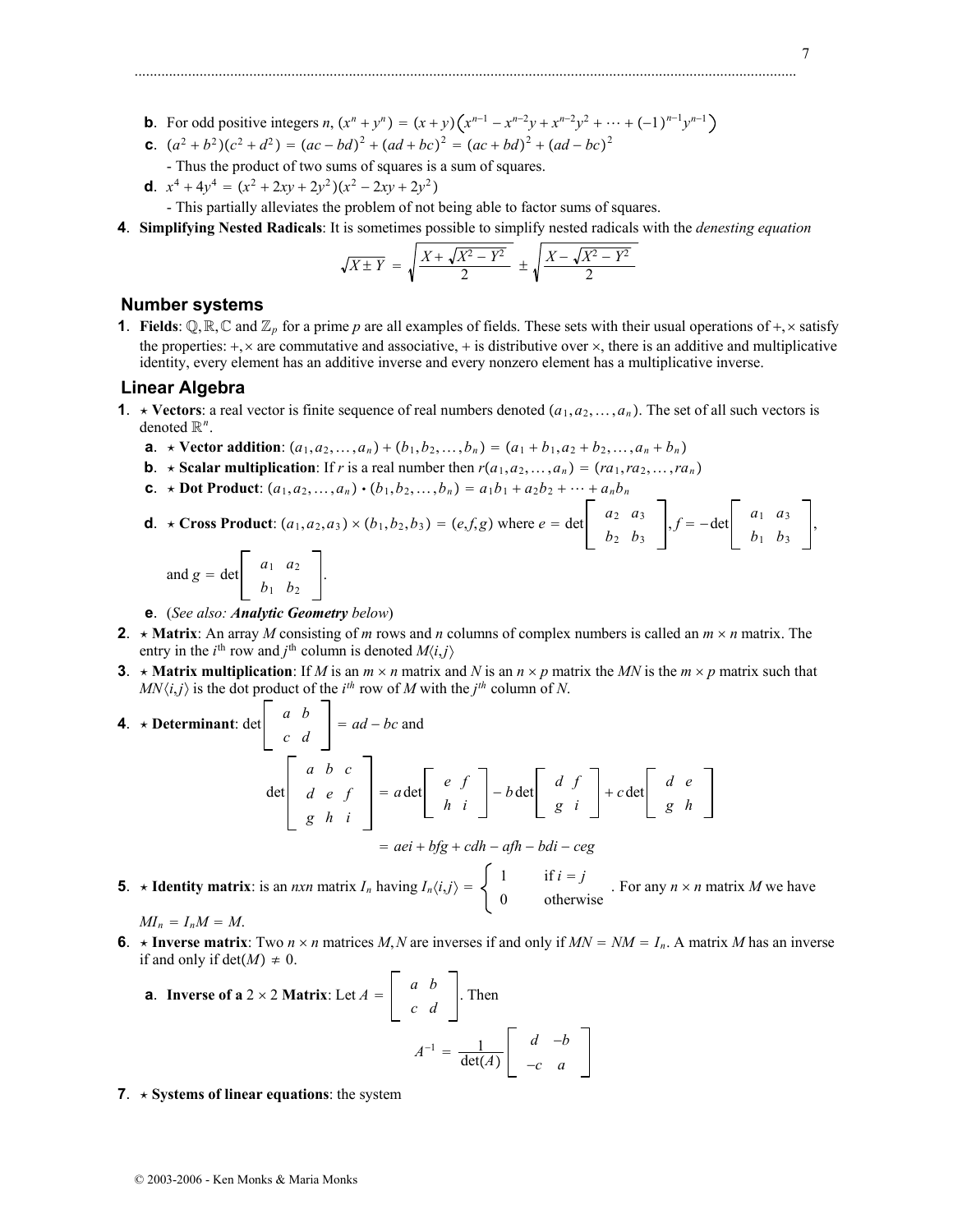- **b**. For odd positive integers *n*,  $(x^n + y^n) = (x + y)(x^{n-1} x^{n-2}y + x^{n-2}y^2 + \dots + (-1)^{n-1}y^{n-1}$
- **c**.  $(a^2 + b^2)(c^2 + d^2) = (ac bd)^2 + (ad + bc)^2 = (ac + bd)^2 + (ad bc)^2$
- Thus the product of two sums of squares is a sum of squares.
- **d**.  $x^4 + 4y^4 = (x^2 + 2xy + 2y^2)(x^2 2xy + 2y^2)$ 
	- This partially alleviates the problem of not being able to factor sums of squares.
- **4**. **Simplifying Nested Radicals**: It is sometimes possible to simplify nested radicals with the *denesting equation*

$$
\sqrt{X \pm Y} = \sqrt{\frac{X + \sqrt{X^2 - Y^2}}{2}} \pm \sqrt{\frac{X - \sqrt{X^2 - Y^2}}{2}}
$$

### **Number systems**

**1**. **Fields**:  $\mathbb{Q}, \mathbb{R}, \mathbb{C}$  and  $\mathbb{Z}_p$  for a prime p are all examples of fields. These sets with their usual operations of  $+, \times$  satisfy the properties:  $+$ ,  $\times$  are commutative and associative,  $+$  is distributive over  $\times$ , there is an additive and multiplicative identity, every element has an additive inverse and every nonzero element has a multiplicative inverse.

# **Linear Algebra**

- **1**. **\*** Vectors: a real vector is finite sequence of real numbers denoted  $(a_1, a_2, \ldots, a_n)$ . The set of all such vectors is denoted R*<sup>n</sup>*.
	- **a**.  $\star$  Vector addition:  $(a_1, a_2, ..., a_n) + (b_1, b_2, ..., b_n) = (a_1 + b_1, a_2 + b_2, ..., a_n + b_n)$
	- **b**.  $\star$  **Scalar multiplication**: If *r* is a real number then  $r(a_1, a_2, \ldots, a_n) = (ra_1, ra_2, \ldots, ra_n)$
	- **c**.  $\star$  Dot Product:  $(a_1, a_2, ..., a_n) \cdot (b_1, b_2, ..., b_n) = a_1b_1 + a_2b_2 + ... + a_nb_n$

**d.** 
$$
\star
$$
 Cross Product:  $(a_1, a_2, a_3) \times (b_1, b_2, b_3) = (e, f, g)$  where  $e = \det \begin{bmatrix} a_2 & a_3 \ b_2 & b_3 \end{bmatrix}$ ,  $f = -\det \begin{bmatrix} a_1 & a_3 \ b_1 & b_3 \end{bmatrix}$ ,

and  $g = \det \begin{vmatrix} a_1 & a_2 \\ a_1 & a_2 \end{vmatrix}$ *b*<sup>1</sup> *b*<sup>2</sup> .

- **e**. (*See also: Analytic Geometry below*)
- **2.**  $\star$  **Matrix**: An array *M* consisting of *m* rows and *n* columns of complex numbers is called an  $m \times n$  matrix. The entry in the *i*<sup>th</sup> row and *j*<sup>th</sup> column is denoted  $M\langle i,j \rangle$
- **3**.  $\star$  **Matrix multiplication**: If *M* is an *m*  $\times$  *n* matrix and *N* is an *n*  $\times$  *p* matrix the *MN* is the *m*  $\times$  *p* matrix such that *MN* $\langle i,j \rangle$  is the dot product of the *i*<sup>th</sup> row of *M* with the *j*<sup>th</sup> column of *N*.

**4.** 
$$
\star
$$
 Determinant: det  $\begin{bmatrix} a & b \\ c & d \end{bmatrix} = ad - bc$  and  
det  $\begin{bmatrix} a & b & c \\ d & e & f \\ g & h & i \end{bmatrix} = a \text{det} \begin{bmatrix} e & f \\ h & i \end{bmatrix} - b \text{det} \begin{bmatrix} d & f \\ g & i \end{bmatrix} + c \text{det} \begin{bmatrix} d & e \\ g & h \end{bmatrix}$   
=  $aei + bfg + cdh - afh - bdi - ceg$ 

**5**. **\* Identity matrix**: is an *nxn* matrix  $I_n$  having  $I_n\langle i,j \rangle = \begin{cases} 1 & \text{if } i = j \\ 0 & \text{otherwise} \end{cases}$ . For any  $n \times n$  matrix M we have

 $MI_n = I_n M = M$ .

**6**. **\*** Inverse matrix: Two  $n \times n$  matrices *M*, *N* are inverses if and only if  $MN = NM = I_n$ . A matrix *M* has an inverse if and only if  $det(M) \neq 0$ .

**a.** Inverse of a 2 × 2 Matrix: Let 
$$
A = \begin{bmatrix} a & b \\ c & d \end{bmatrix}
$$
. Then  

$$
A^{-1} = \frac{1}{\det(A)} \begin{bmatrix} d & -b \\ -c & a \end{bmatrix}
$$

**7.**  $\star$  **Systems of linear equations**: the system

T.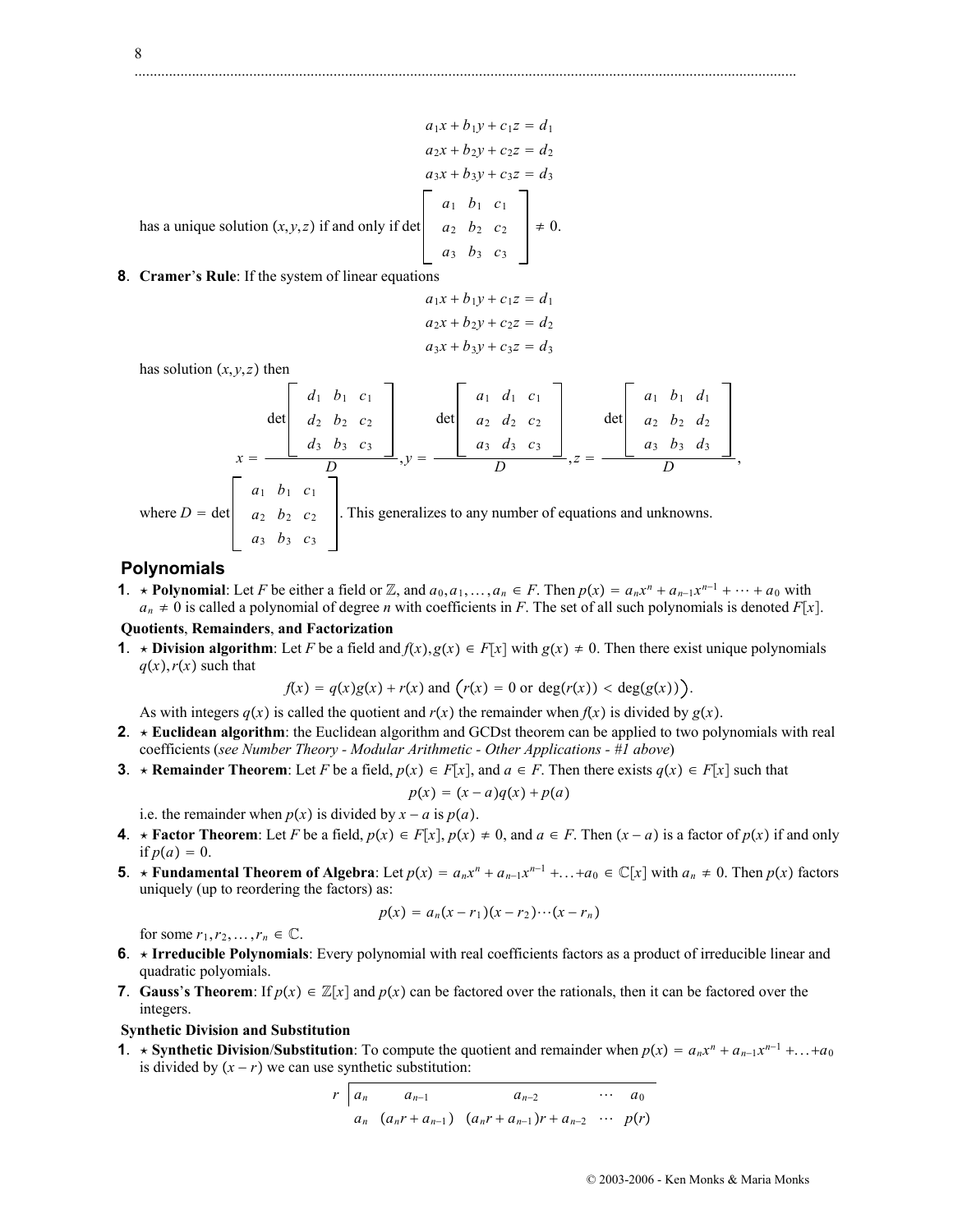$$
a_1x + b_1y + c_1z = d_1
$$
  
\n
$$
a_2x + b_2y + c_2z = d_2
$$
  
\n
$$
a_3x + b_3y + c_3z = d_3
$$
  
\nhas a unique solution  $(x, y, z)$  if and only if det 
$$
\begin{bmatrix} a_1 & b_1 & c_1 \\ a_2 & b_2 & c_2 \\ a_3 & b_3 & c_3 \end{bmatrix} \neq 0.
$$
  
\n**8. Cramer's Rule:** If the system of linear equations

$$
a_1x + b_1y + c_1z = d_1
$$
  

$$
a_2x + b_2y + c_2z = d_2
$$
  

$$
a_3x + b_3y + c_3z = d_3
$$

has solution  $(x, y, z)$  then

$$
x = \frac{\left[\begin{array}{cc} d_1 & b_1 & c_1 \\ d_2 & b_2 & c_2 \\ d_3 & b_3 & c_3 \end{array}\right]}{D}, y = \frac{\left[\begin{array}{cc} a_1 & d_1 & c_1 \\ a_2 & d_2 & c_2 \\ a_3 & d_3 & c_3 \end{array}\right]}{D}, z = \frac{\left[\begin{array}{cc} a_1 & b_1 & d_1 \\ a_2 & d_2 & c_2 \\ a_3 & d_3 & c_3 \end{array}\right]}{D}, z = \frac{\left[\begin{array}{cc} a_1 & b_1 & d_2 \\ a_2 & b_2 & d_2 \\ a_3 & b_3 & d_3 \end{array}\right]}{D}, z = \frac{\left[\begin{array}{cc} a_1 & b_1 & c_1 \\ a_2 & b_2 & d_2 \\ a_3 & d_3 & c_3 \end{array}\right]}{D}, z = \frac{\left[\begin{array}{cc} a_1 & b_1 & c_1 \\ a_2 & b_2 & c_2 \\ a_3 & b_3 & c_3 \end{array}\right]}{D}, z = \frac{\left[\begin{array}{cc} a_1 & b_1 & c_1 \\ a_2 & b_2 & d_2 \\ a_3 & d_3 & c_3 \end{array}\right]}{D}, z = \frac{\left[\begin{array}{cc} a_1 & b_1 & d_2 \\ a_2 & b_2 & d_2 \\ a_3 & b_3 & d_3 \end{array}\right]}{D}, z = \frac{\left[\begin{array}{cc} a_1 & b_1 & d_2 \\ a_2 & b_2 & d_2 \\ a_3 & d_3 & c_3 \end{array}\right]}{D}, z = \frac{\left[\begin{array}{cc} a_1 & b_1 & d_2 \\ a_2 & b_2 & d_2 \\ a_3 & b_3 & d_3 \end{array}\right]}{D}, z = \frac{\left[\begin{array}{cc} a_1 & b_1 & d_2 \\ a_2 & b_2 & d_3 \end{array}\right]}{D}, z = \frac{\left[\begin{array}{cc} a_1 & b_1 & c_1 \\ a_2 & b_2 & d_3 \end{array}\right]}{D}, z = \frac{\left[\begin{array}{cc} a_1 & b_1 & c_1 \\ a_2 & b_2 & c_2 \end{array}\right]}{D}, z = \frac{\left[\begin{array}{cc} a_1 & b_1 & c_1 \\ a_2 & b_2 & c_2 \end{array}\
$$

# **Polynomials**

**1**. **\*** Polynomial: Let *F* be either a field or Z, and  $a_0, a_1, \ldots, a_n \in F$ . Then  $p(x) = a_n x^n + a_{n-1} x^{n-1} + \cdots + a_0$  with  $a_n \neq 0$  is called a polynomial of degree *n* with coefficients in *F*. The set of all such polynomials is denoted *F*[x].

## **Quotients**, **Remainders**, **and Factorization**

**1**. **\*** Division algorithm: Let *F* be a field and  $f(x)$ ,  $g(x) \in F[x]$  with  $g(x) \neq 0$ . Then there exist unique polynomials  $q(x)$ *, r*(*x*) such that

$$
f(x) = q(x)g(x) + r(x) \text{ and } \left(r(x) = 0 \text{ or } \deg(r(x)) < \deg(g(x))\right).
$$

As with integers  $q(x)$  is called the quotient and  $r(x)$  the remainder when  $f(x)$  is divided by  $g(x)$ .

- **2**. **Euclidean algorithm**: the Euclidean algorithm and GCDst theorem can be applied to two polynomials with real coefficients (*see Number Theory - Modular Arithmetic - Other Applications - #1 above*)
- **3**. **\*** Remainder Theorem: Let *F* be a field,  $p(x) \in F[x]$ , and  $a \in F$ . Then there exists  $q(x) \in F[x]$  such that

$$
p(x) = (x - a)q(x) + p(a)
$$

i.e. the remainder when  $p(x)$  is divided by  $x - a$  is  $p(a)$ .

- **4**. **\*** Factor Theorem: Let *F* be a field,  $p(x) \in F[x]$ ,  $p(x) \neq 0$ , and  $a \in F$ . Then  $(x a)$  is a factor of  $p(x)$  if and only if  $p(a) = 0$ .
- **5**.  $\star$  **Fundamental Theorem of Algebra**: Let  $p(x) = a_n x^n + a_{n-1} x^{n-1} + \ldots + a_0 \in \mathbb{C}[x]$  with  $a_n \neq 0$ . Then  $p(x)$  factors uniquely (up to reordering the factors) as:

$$
p(x) = a_n(x - r_1)(x - r_2) \cdots (x - r_n)
$$

for some  $r_1, r_2, \ldots, r_n \in \mathbb{C}$ .

- **6**. **Irreducible Polynomials**: Every polynomial with real coefficients factors as a product of irreducible linear and quadratic polyomials.
- **7. Gauss's Theorem**: If  $p(x) \in \mathbb{Z}[x]$  and  $p(x)$  can be factored over the rationals, then it can be factored over the integers.

#### **Synthetic Division and Substitution**

**1**. **\*** Synthetic Division/Substitution: To compute the quotient and remainder when  $p(x) = a_n x^n + a_{n-1} x^{n-1} + \ldots + a_0$ is divided by  $(x - r)$  we can use synthetic substitution:

$$
r \mid a_n
$$
  $a_{n-1}$   $a_{n-2}$   $\cdots$   $a_0$   
\n $a_n$   $(a_n r + a_{n-1})$   $(a_n r + a_{n-1})r + a_{n-2}$   $\cdots$   $p(r)$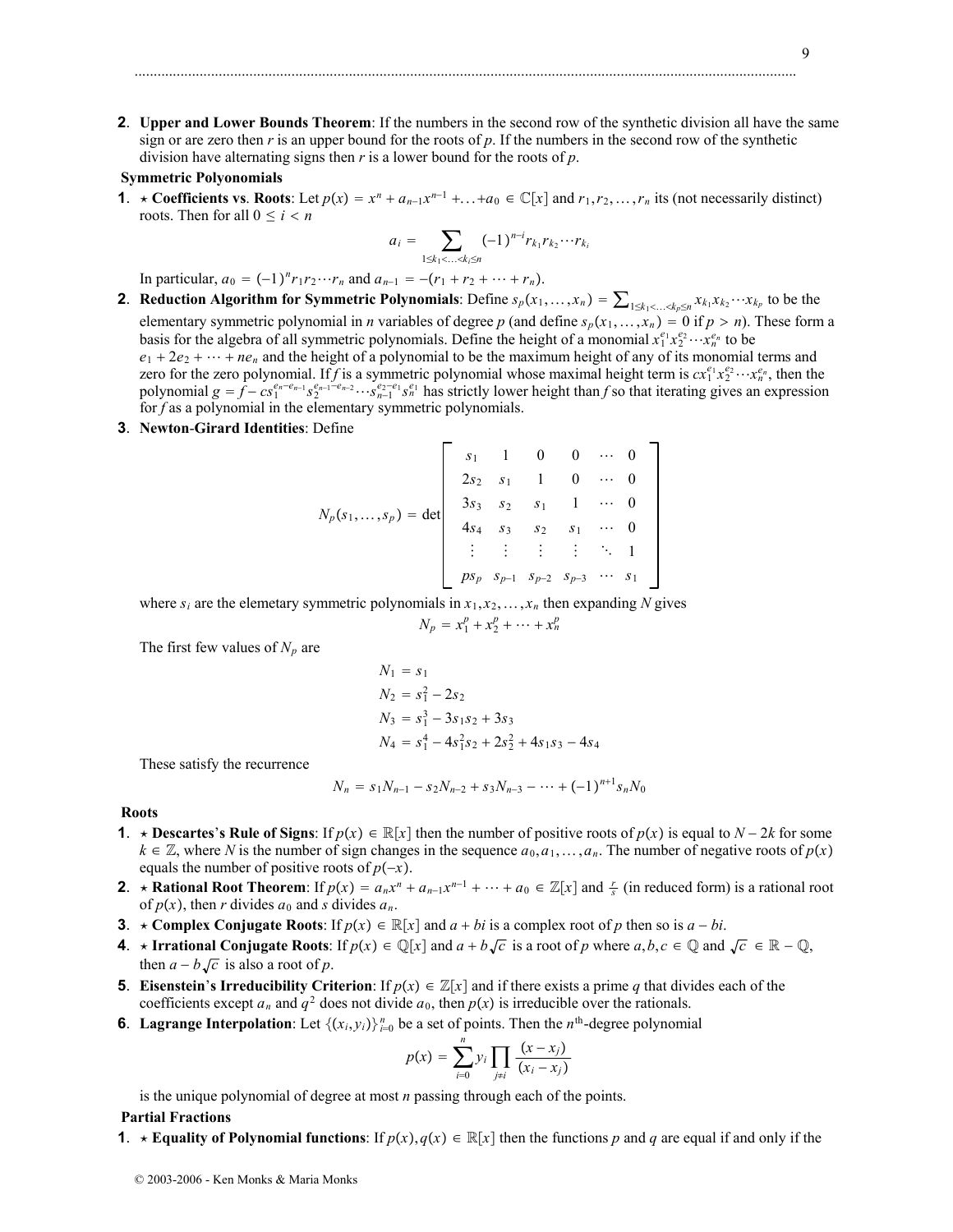**2**. **Upper and Lower Bounds Theorem**: If the numbers in the second row of the synthetic division all have the same sign or are zero then  $r$  is an upper bound for the roots of  $p$ . If the numbers in the second row of the synthetic division have alternating signs then *r* is a lower bound for the roots of *p*.

#### **Symmetric Polyonomials**

**1**. **\*** Coefficients vs. Roots: Let  $p(x) = x^n + a_{n-1}x^{n-1} + \ldots + a_0 \in \mathbb{C}[x]$  and  $r_1, r_2, \ldots, r_n$  its (not necessarily distinct) roots. Then for all  $0 \le i < n$ 

$$
a_i = \sum_{1 \leq k_1 < \ldots < k_i \leq n} (-1)^{n-i} r_{k_1} r_{k_2} \cdots r_{k_i}
$$

In particular,  $a_0 = (-1)^n r_1 r_2 \cdots r_n$  and  $a_{n-1} = -(r_1 + r_2 + \cdots + r_n)$ .

- **2**. **Reduction Algorithm for Symmetric Polynomials**: Define  $s_p(x_1,...,x_n) = \sum_{1 \le k_1 < ... < k_p \le n} x_{k_1} x_{k_2} \cdots x_{k_p}$  to be the elementary symmetric polynomial in *n* variables of degree *p* (and define  $s_p(x_1,...,x_n) = 0$  if  $p > n$ ). These form a basis for the algebra of all symmetric polynomials. Define the height of a monomial  $x_1^{e_1}x_2^{e_2} \cdots x_n^{e_n}$  to be  $e_1 + 2e_2 + \cdots + ne_n$  and the height of a polynomial to be the maximum height of any of its monomial terms and zero for the zero polynomial. If *f* is a symmetric polynomial whose maximal height term is  $cx_1^{e_1}x_2^{e_2} \cdots x_n^{e_n}$ , then the polynomial  $g = f - cs_1^{e_n-e_{n-1}} s_2^{e_{n-1}-e_{n-2}} \cdots s_{n-1}^{e_2-e_1} s_n^{e_1}$  has strictly lower height than *f* so that iterating gives an expression for *f* as a polynomial in the elementary symmetric polynomials.
- **3**. **Newton**-**Girard Identities**: Define

$$
N_p(s_1,...,s_p) = \det \begin{bmatrix} s_1 & 1 & 0 & 0 & \cdots & 0 \\ 2s_2 & s_1 & 1 & 0 & \cdots & 0 \\ 3s_3 & s_2 & s_1 & 1 & \cdots & 0 \\ 4s_4 & s_3 & s_2 & s_1 & \cdots & 0 \\ \vdots & \vdots & \vdots & \vdots & \ddots & 1 \\ ps_p & s_{p-1} & s_{p-2} & s_{p-3} & \cdots & s_1 \end{bmatrix}
$$

where  $s_i$  are the elemetary symmetric polynomials in  $x_1, x_2, \ldots, x_n$  then expanding N gives

$$
N_p = x_1^p + x_2^p + \dots + x_n^p
$$

The first few values of  $N_p$  are

$$
N_1 = s_1
$$
  
\n
$$
N_2 = s_1^2 - 2s_2
$$
  
\n
$$
N_3 = s_1^3 - 3s_1s_2 + 3s_3
$$
  
\n
$$
N_4 = s_1^4 - 4s_1^2s_2 + 2s_2^2 + 4s_1s_3 - 4s_4
$$

These satisfy the recurrence

$$
N_n = s_1 N_{n-1} - s_2 N_{n-2} + s_3 N_{n-3} - \dots + (-1)^{n+1} s_n N_0
$$

#### **Roots**

- **1**. **\*** Descartes's Rule of Signs: If  $p(x) \in \mathbb{R}[x]$  then the number of positive roots of  $p(x)$  is equal to  $N-2k$  for some  $k \in \mathbb{Z}$ , where *N* is the number of sign changes in the sequence  $a_0, a_1, \ldots, a_n$ . The number of negative roots of  $p(x)$ equals the number of positive roots of  $p(-x)$ .
- **2**.  $\star$  **Rational Root Theorem**: If  $p(x) = a_n x^n + a_{n-1} x^{n-1} + \cdots + a_0 \in \mathbb{Z}[x]$  and  $\frac{r}{s}$  (in reduced form) is a rational root of  $p(x)$ , then *r* divides  $a_0$  and *s* divides  $a_n$ .
- **3**. **\*** Complex Conjugate Roots: If  $p(x) \in \mathbb{R}[x]$  and  $a + bi$  is a complex root of p then so is  $a bi$ .
- **4**.  $\star$  **Irrational Conjugate Roots**: If  $p(x) \in \mathbb{Q}[x]$  and  $a + b\sqrt{c}$  is a root of *p* where  $a, b, c \in \mathbb{Q}$  and  $\sqrt{c} \in \mathbb{R} \mathbb{Q}$ , then  $a - b\sqrt{c}$  is also a root of *p*.
- **5**. **Eisenstein**'s **Irreducibility Criterion**: If  $p(x) \in \mathbb{Z}[x]$  and if there exists a prime *q* that divides each of the coefficients except  $a_n$  and  $q^2$  does not divide  $a_0$ , then  $p(x)$  is irreducible over the rationals.
- **6**. **Lagrange Interpolation**: Let  $\{(x_i, y_i)\}_{i=0}^n$  be a set of points. Then the  $n^{\text{th}}$ -degree polynomial

$$
p(x) = \sum_{i=0}^{n} y_i \prod_{j \neq i} \frac{(x - x_j)}{(x_i - x_j)}
$$

is the unique polynomial of degree at most *n* passing through each of the points.

#### **Partial Fractions**

**1**.  $\star$  **Equality of Polynomial functions**: If  $p(x)$ ,  $q(x) \in \mathbb{R}[x]$  then the functions p and q are equal if and only if the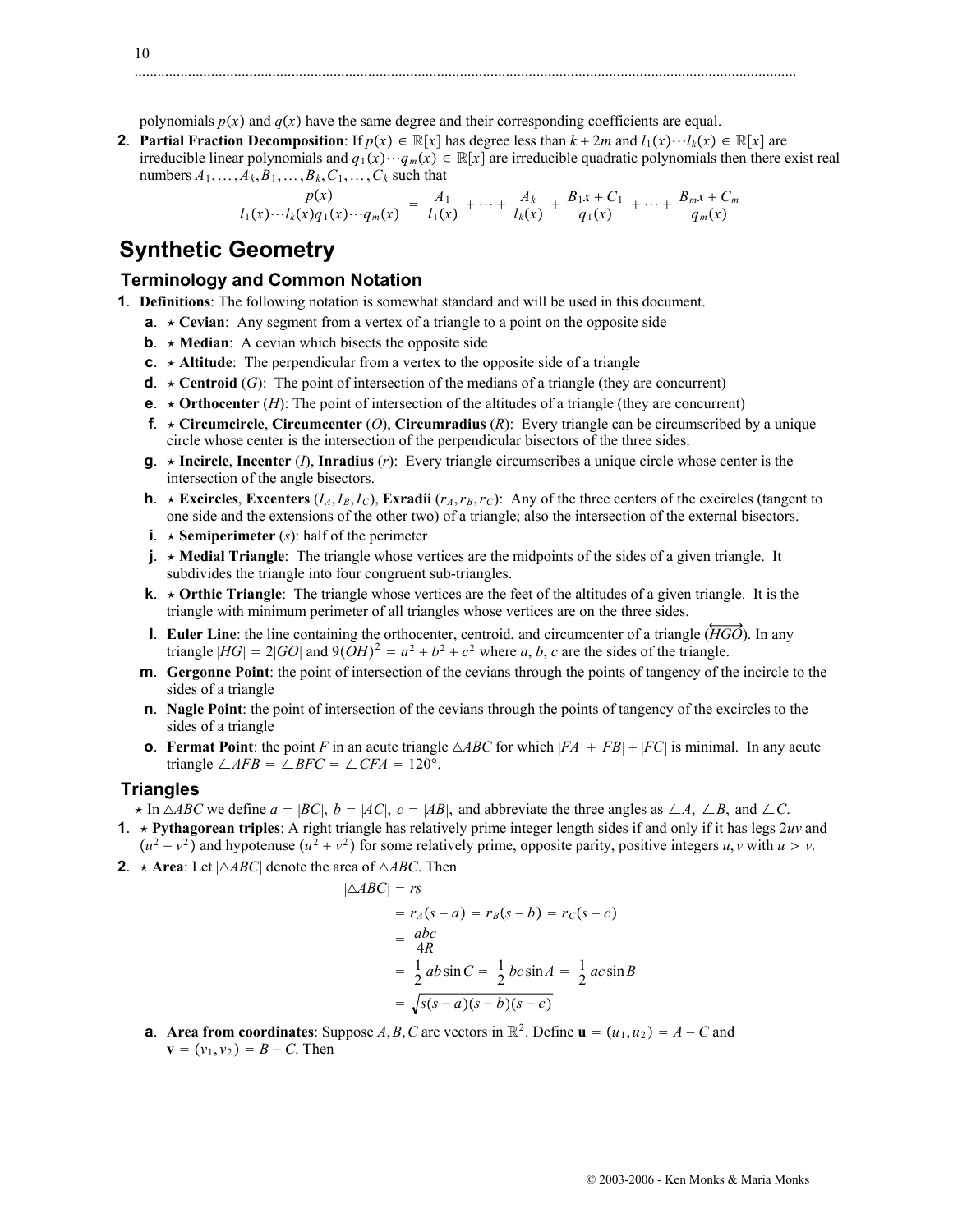polynomials  $p(x)$  and  $q(x)$  have the same degree and their corresponding coefficients are equal.

**2**. **Partial Fraction Decomposition**: If  $p(x) \in \mathbb{R}[x]$  has degree less than  $k + 2m$  and  $l_1(x) \cdots l_k(x) \in \mathbb{R}[x]$  are irreducible linear polynomials and  $q_1(x) \cdots q_m(x) \in \mathbb{R}[x]$  are irreducible quadratic polynomials then there exist real numbers  $A_1, \ldots, A_k, B_1, \ldots, B_k, C_1, \ldots, C_k$  such that

.............................................................................................................................................................................

$$
\frac{p(x)}{l_1(x)\cdots l_k(x)q_1(x)\cdots q_m(x)} = \frac{A_1}{l_1(x)} + \cdots + \frac{A_k}{l_k(x)} + \frac{B_1x + C_1}{q_1(x)} + \cdots + \frac{B_mx + C_m}{q_m(x)}
$$

# **Synthetic Geometry**

## **Terminology and Common Notation**

- **1**. **Definitions**: The following notation is somewhat standard and will be used in this document.
	- **a**.  $\star$  **Cevian**: Any segment from a vertex of a triangle to a point on the opposite side
	- **b**.  $\star$  **Median**: A cevian which bisects the opposite side
	- **c**.  $\star$  **Altitude**: The perpendicular from a vertex to the opposite side of a triangle
	- **d**.  $\star$  **Centroid** (*G*): The point of intersection of the medians of a triangle (they are concurrent)
	- **e**.  $\star$  **Orthocenter** (*H*): The point of intersection of the altitudes of a triangle (they are concurrent)
	- **f.**  $\star$  **Circumcircle**, **Circumcenter** (*O*), **Circumradius** (*R*): Every triangle can be circumscribed by a unique circle whose center is the intersection of the perpendicular bisectors of the three sides.
	- **g**.  $\star$  **Incircle**, **Incenter** (*I*), **Inradius** (*r*): Every triangle circumscribes a unique circle whose center is the intersection of the angle bisectors.
	- **h**.  $\star$  **<b>Excircles**, **Excenters** (*I<sub>A</sub>*,*I<sub>B</sub>*,*I<sub>C</sub>*), **Exradii** (*r<sub>A</sub>,r<sub>B</sub>*,*r<sub>C</sub>*): Any of the three centers of the excircles (tangent to one side and the extensions of the other two) of a triangle; also the intersection of the external bisectors.
	- **i**.  $\star$  **Semiperimeter** (*s*): half of the perimeter
	- **j**. **Medial Triangle**: The triangle whose vertices are the midpoints of the sides of a given triangle. It subdivides the triangle into four congruent sub-triangles.
	- **k.**  $\star$  **Orthic Triangle**: The triangle whose vertices are the feet of the altitudes of a given triangle. It is the triangle with minimum perimeter of all triangles whose vertices are on the three sides.
	- **l**. **Euler Line**: the line containing the orthocenter, centroid, and circumcenter of a triangle (*HGO*). In any triangle  $|HG| = 2|GO|$  and  $9(OH)^2 = a^2 + b^2 + c^2$  where *a*, *b*, *c* are the sides of the triangle.
	- **m**. **Gergonne Point**: the point of intersection of the cevians through the points of tangency of the incircle to the sides of a triangle
	- **n**. **Nagle Point**: the point of intersection of the cevians through the points of tangency of the excircles to the sides of a triangle
	- **o**. **Fermat Point**: the point *F* in an acute triangle  $\triangle ABC$  for which  $|FA| + |FB| + |FC|$  is minimal. In any acute triangle  $\angle AFB = \angle BFC = \angle CFA = 120^\circ$ .

#### **Triangles**

- $\times$  In  $\triangle ABC$  we define  $a = |BC|$ ,  $b = |AC|$ ,  $c = |AB|$ , and abbreviate the three angles as  $\angle A$ ,  $\angle B$ , and  $\angle C$ .
- **1.**  $\star$  **Pythagorean triples**: A right triangle has relatively prime integer length sides if and only if it has legs  $2uv$  and  $(u^2 - v^2)$  and hypotenuse  $(u^2 + v^2)$  for some relatively prime, opposite parity, positive integers *u*, *v* with  $u > v$ .
- **2.**  $\star$  **Area**: Let  $| \triangle ABC |$  denote the area of  $\triangle ABC$ . Then

$$
|\triangle ABC| = rs
$$
  
=  $r_A(s-a) = r_B(s-b) = r_C(s-c)$   
=  $\frac{abc}{4R}$   
=  $\frac{1}{2}ab\sin C = \frac{1}{2}bc\sin A = \frac{1}{2}ac\sin B$   
=  $\sqrt{s(s-a)(s-b)(s-c)}$ 

**a**. **Area from coordinates**: Suppose *A*, *B*, *C* are vectors in  $\mathbb{R}^2$ . Define  $\mathbf{u} = (u_1, u_2) = A - C$  and **. Then**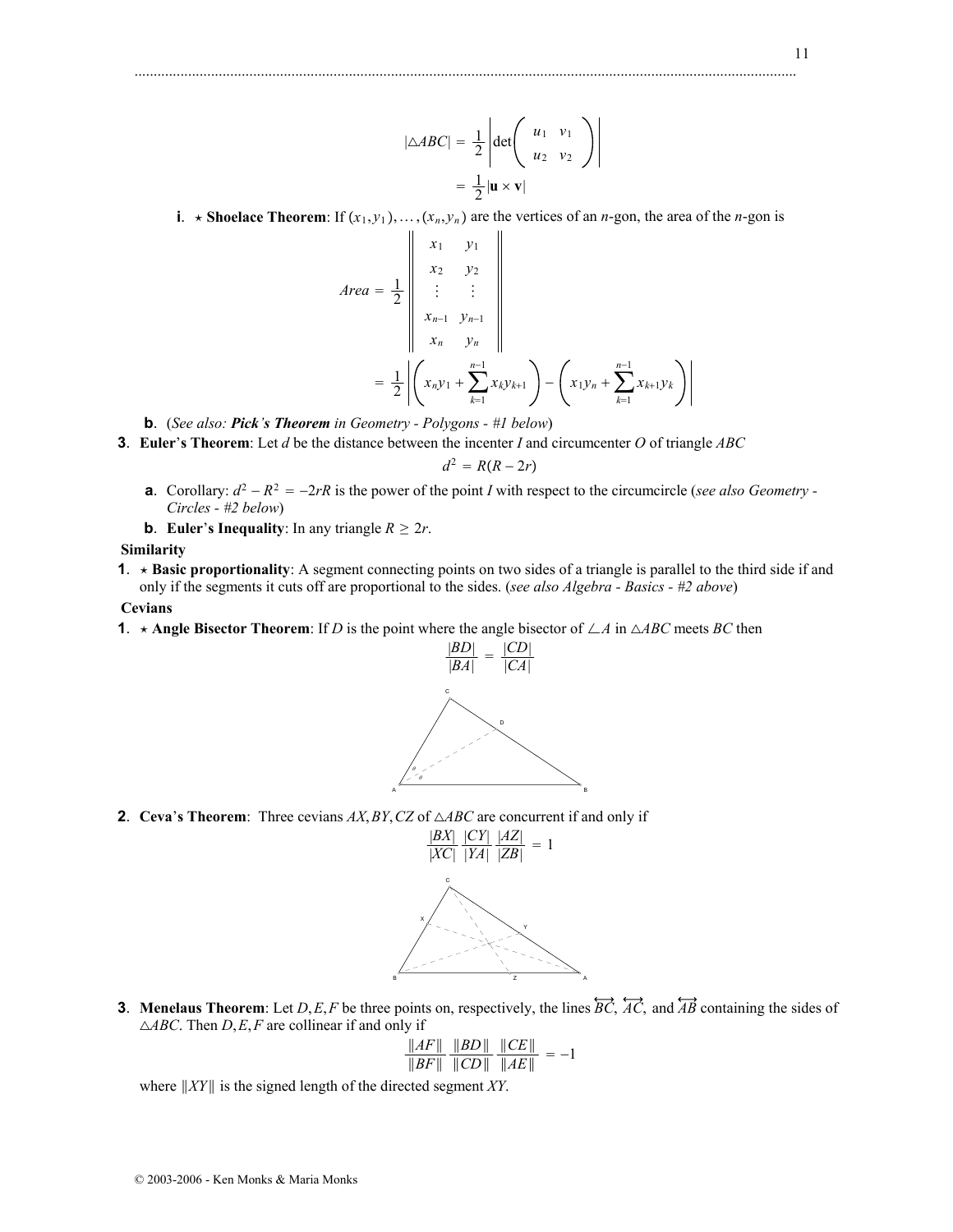**i**.  $\star$  **Shoelace Theorem**: If  $(x_1, y_1)$ ,  $\ldots$ ,  $(x_n, y_n)$  are the vertices of an *n*-gon, the area of the *n*-gon is

.............................................................................................................................................................................

$$
Area = \frac{1}{2} \begin{vmatrix} x_1 & y_1 \\ x_2 & y_2 \\ \vdots & \vdots \\ x_{n-1} & y_{n-1} \\ x_n & y_n \end{vmatrix}
$$

$$
= \frac{1}{2} \left| \left( x_n y_1 + \sum_{k=1}^{n-1} x_k y_{k+1} \right) - \left( x_1 y_n + \sum_{k=1}^{n-1} x_{k+1} y_k \right) \right|
$$

**b**. (*See also: Pick's Theorem in Geometry - Polygons - #1 below*)

**3**. **Euler**'**s Theorem**: Let *d* be the distance between the incenter *I* and circumcenter *O* of triangle *ABC*

$$
d^2 = R(R-2r)
$$

- **a**. Corollary:  $d^2 R^2 = -2rR$  is the power of the point *I* with respect to the circumcircle (*see also Geometry -Circles - #2 below*)
- **b**. **Euler**'s **Inequality**: In any triangle  $R \geq 2r$ .

**Similarity**

**1**. **Basic proportionality**: A segment connecting points on two sides of a triangle is parallel to the third side if and only if the segments it cuts off are proportional to the sides. (*see also Algebra - Basics - #2 above*)

**Cevians**

**1.**  $\star$  **Angle Bisector Theorem**: If *D* is the point where the angle bisector of  $\angle A$  in  $\triangle ABC$  meets *BC* then



**2**. **Ceva**'s **Theorem**: Three cevians  $AX$ ,  $BY$ ,  $CZ$  of  $\triangle ABC$  are concurrent if and only if



**3**. **Menelaus Theorem**: Let *D*,*E*,*F* be three points on, respectively, the lines  $\overleftrightarrow{BC}$ ,  $\overleftrightarrow{AC}$ , and  $\overleftrightarrow{AB}$  containing the sides of *ABC*. Then *D*,*E*,*F* are collinear if and only if

$$
\frac{\|AF\|}{\|BF\|} \frac{\|BD\|}{\|CD\|} \frac{\|CE\|}{\|AE\|} = -1
$$

where *XY* is the signed length of the directed segment *XY*.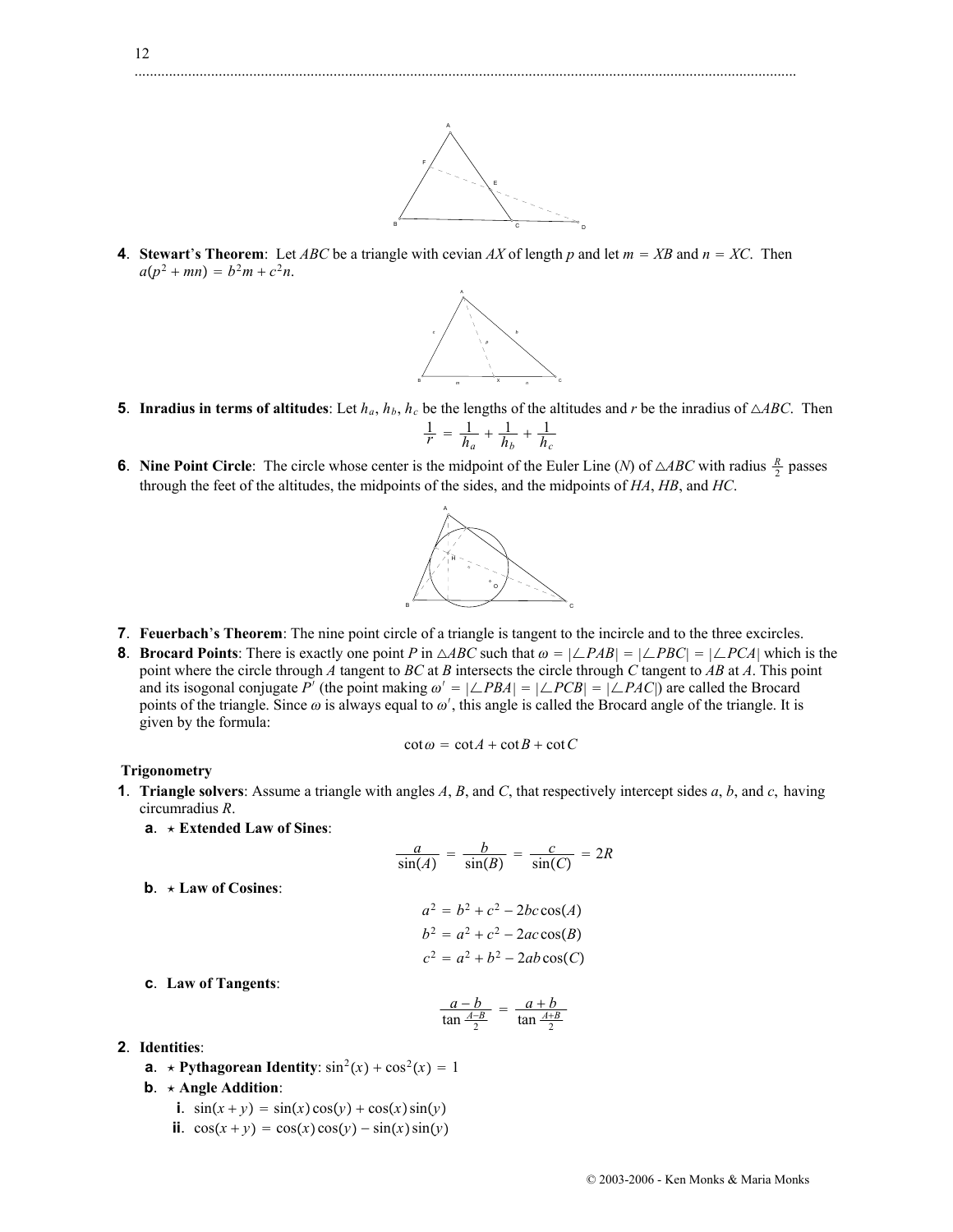**4**. **Stewart's Theorem**: Let *ABC* be a triangle with cevian *AX* of length *p* and let  $m = XB$  and  $n = XC$ . Then  $a(p^2 + mn) = b^2m + c^2n$ .



B C C D

- **5**. **Inradius in terms of altitudes**: Let  $h_a$ ,  $h_b$ ,  $h_c$  be the lengths of the altitudes and *r* be the inradius of  $\triangle ABC$ . Then  $\frac{1}{r} = \frac{1}{h_a} + \frac{1}{h_b} + \frac{1}{h_c}$
- **6**. **Nine Point Circle**: The circle whose center is the midpoint of the Euler Line (*N*) of  $\triangle ABC$  with radius  $\frac{R}{2}$  passes through the feet of the altitudes, the midpoints of the sides, and the midpoints of *HA*, *HB*, and *HC*.



- **7**. **Feuerbach**'**s Theorem**: The nine point circle of a triangle is tangent to the incircle and to the three excircles.
- **8**. **Brocard Points**: There is exactly one point *P* in  $\triangle ABC$  such that  $\omega = |\angle PAB| = |\angle PBC| = |\angle PCA|$  which is the point where the circle through *A* tangent to *BC* at *B* intersects the circle through *C* tangent to *AB* at *A*. This point and its isogonal conjugate P<sup>'</sup> (the point making  $\omega' = |\angle PBA| = |\angle PCB| = |\angle PAC|$ ) are called the Brocard points of the triangle. Since  $\omega$  is always equal to  $\omega'$ , this angle is called the Brocard angle of the triangle. It is given by the formula:

$$
\cot \omega = \cot A + \cot B + \cot C
$$

#### **Trigonometry**

- **1**. **Triangle solvers**: Assume a triangle with angles *A*, *B*, and *C*, that respectively intercept sides *a*, *b*, and *c*, having circumradius *R*.
	- **a**. **Extended Law of Sines**:

$$
\frac{a}{\sin(A)} = \frac{b}{\sin(B)} = \frac{c}{\sin(C)} = 2R
$$
  

$$
a^2 = b^2 + c^2 - 2bc \cos(A)
$$
  

$$
b^2 = a^2 + c^2 - 2ac \cos(B)
$$
  

$$
c^2 = a^2 + b^2 - 2ab \cos(C)
$$

**c**. **Law of Tangents**:

**b**. **Law of Cosines**:

$$
\frac{a-b}{\tan\frac{A-B}{2}}=\frac{a+b}{\tan\frac{A+B}{2}}
$$

- **2**. **Identities**:
	- **a**.  $\star$  **Pythagorean Identity**:  $\sin^2(x) + \cos^2(x) = 1$
	- **b**. **Angle Addition**:
		- **i**.  $\sin(x + y) = \sin(x)\cos(y) + \cos(x)\sin(y)$
		- **ii**.  $\cos(x+y) = \cos(x)\cos(y) \sin(x)\sin(y)$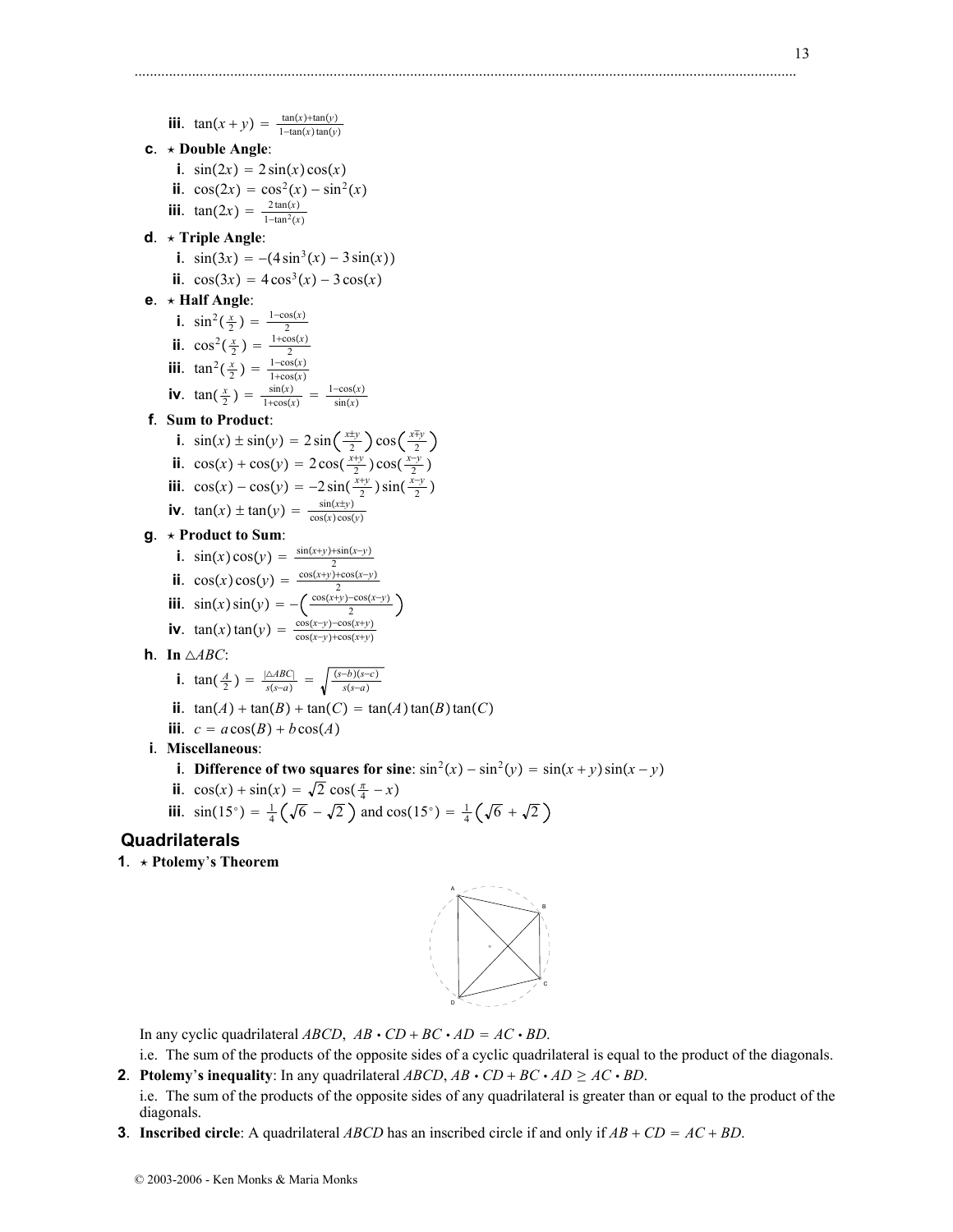**iii**.  $\tan(x + y) = \frac{\tan(x) + \tan(y)}{1 - \tan(x) \tan(y)}$ **c**. **Double Angle**: **i**.  $\sin(2x) = 2\sin(x)\cos(x)$ **ii**.  $\cos(2x) = \cos^2(x) - \sin^2(x)$ **iii**.  $\tan(2x) = \frac{2\tan(x)}{1-\tan^2(x)}$ **d**. **Triple Angle**: **i**.  $\sin(3x) = -(4\sin^3(x) - 3\sin(x))$ **ii**.  $\cos(3x) = 4\cos^3(x) - 3\cos(x)$ **e**. **Half Angle**: **i**.  $\sin^2(\frac{x}{2}) = \frac{1-\cos(x)}{2}$ 2 **ii**.  $\cos^2(\frac{x}{2}) = \frac{1+\cos(x)}{2}$ **iii**.  $\tan^2(\frac{x}{2}) = \frac{1-\cos(x)}{1+\cos(x)}$ **iv**.  $\tan(\frac{x}{2}) = \frac{\sin(x)}{1+\cos(x)} = \frac{1-\cos(x)}{\sin(x)}$ **f**. **Sum to Product**: **i**.  $\sin(x) \pm \sin(y) = 2\sin\left(\frac{x\pm y}{2}\right)\cos\left(\frac{x\mp y}{2}\right)$ **ii**.  $\cos(x) + \cos(y) = 2\cos(\frac{x+y}{2})\cos(\frac{x-y}{2})$ **iii**.  $\cos(x) - \cos(y) = -2\sin(\frac{x+y}{2})\sin(\frac{x-y}{2})$ **iv**.  $\tan(x) \pm \tan(y) = \frac{\sin(x \pm y)}{\cos(x)\cos(y)}$ **g**. **Product to Sum**: **i**.  $\sin(x)\cos(y) = \frac{\sin(x+y)+\sin(x-y)}{2}$ ii.  $\cos(x)\cos(y) = \frac{2}{2}$ <br>
ii.  $\cos(x)\cos(y) = \frac{(\cos(x+y)) + \cos(x-y)}{2}$ <br>
iv.  $\tan(x)\tan(y) = \frac{\cos(x-y) - \cos(x+y)}{\cos(x-y) + \cos(x+y)}$ **h**. **In** *ABC*: **i**. tan( $\frac{A}{2}$ ) =  $\frac{|\triangle ABC|}{s(s-a)}$  =  $\sqrt{\frac{(s-b)(s-c)}{s(s-a)}}$ **ii**.  $\tan(A) + \tan(B) + \tan(C) = \tan(A)\tan(B)\tan(C)$ **iii**.  $c = a\cos(B) + b\cos(A)$ 

- **i**. **Miscellaneous**:
	- **i**. **Difference of two squares for sine**:  $\sin^2(x) \sin^2(y) = \sin(x+y)\sin(x-y)$

.............................................................................................................................................................................

- **ii**.  $\cos(x) + \sin(x) = \sqrt{2} \cos(\frac{\pi}{4} x)$
- **iii**.  $\sin(15^\circ) = \frac{1}{4} (\sqrt{6} \sqrt{2})$  and  $\cos(15^\circ) = \frac{1}{4} (\sqrt{6} + \sqrt{2})$

# **Quadrilaterals**

**1**. **Ptolemy**'**s Theorem**



In any cyclic quadrilateral  $ABCD$ ,  $AB \cdot CD + BC \cdot AD = AC \cdot BD$ .

- i.e. The sum of the products of the opposite sides of a cyclic quadrilateral is equal to the product of the diagonals.
- **2**. **Ptolemy**'s inequality: In any quadrilateral *ABCD*,  $AB \cdot CD + BC \cdot AD \ge AC \cdot BD$ . i.e. The sum of the products of the opposite sides of any quadrilateral is greater than or equal to the product of the diagonals.
- **3**. **Inscribed circle**: A quadrilateral *ABCD* has an inscribed circle if and only if  $AB + CD = AC + BD$ .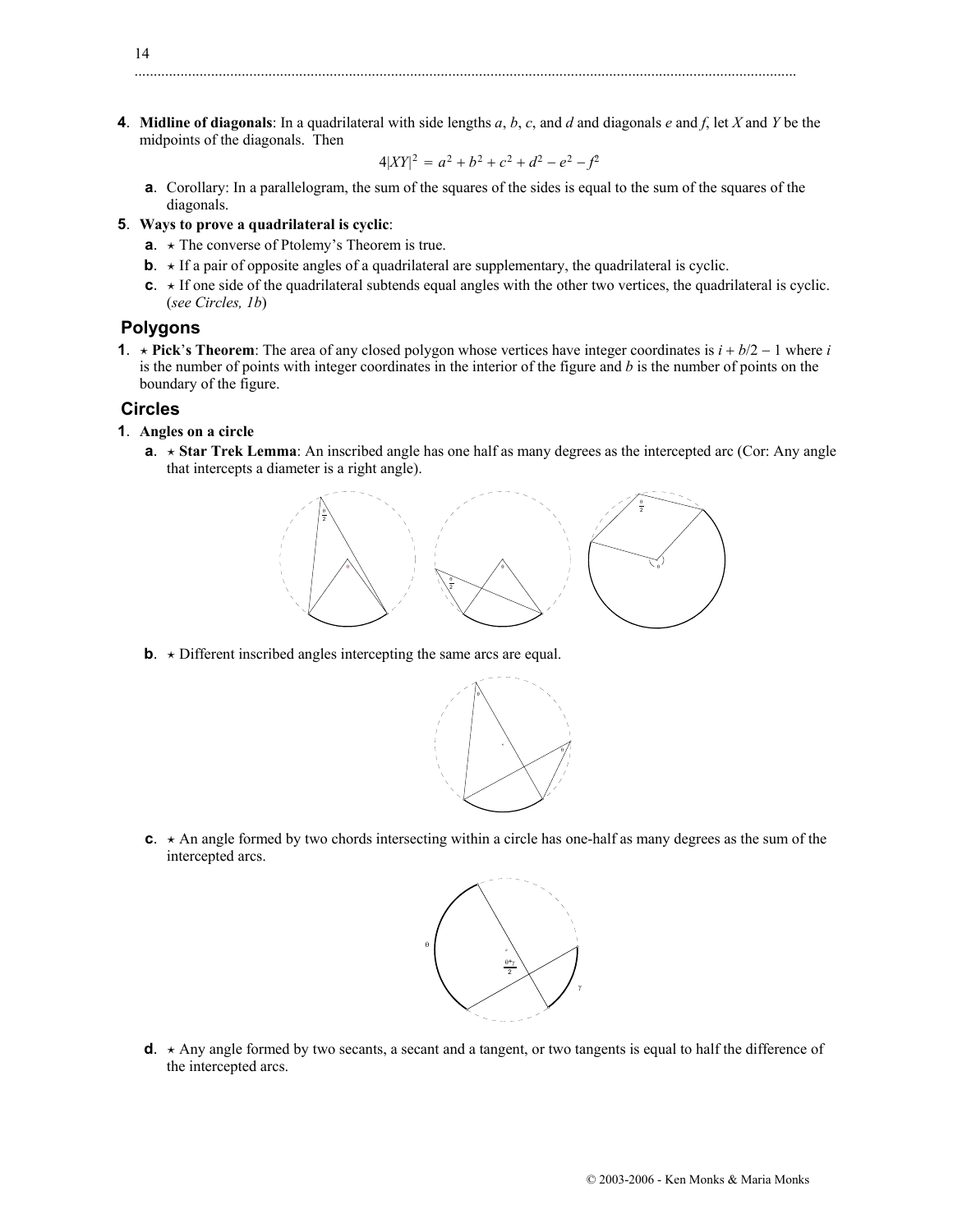**4**. **Midline of diagonals**: In a quadrilateral with side lengths *a*, *b*, *c*, and *d* and diagonals *e* and *f*, let *X* and *Y* be the midpoints of the diagonals. Then

$$
4|XY|^2 = a^2 + b^2 + c^2 + d^2 - e^2 - f^2
$$

**a**. Corollary: In a parallelogram, the sum of the squares of the sides is equal to the sum of the squares of the diagonals.

#### **5**. **Ways to prove a quadrilateral is cyclic**:

- **a**.  $\star$  The converse of Ptolemy's Theorem is true.
- **b.**  $\star$  If a pair of opposite angles of a quadrilateral are supplementary, the quadrilateral is cyclic.
- **c**.  $\star$  If one side of the quadrilateral subtends equal angles with the other two vertices, the quadrilateral is cyclic. (*see Circles, 1b*)

### **Polygons**

14

**1**.  $\star$  **Pick**'s Theorem: The area of any closed polygon whose vertices have integer coordinates is  $i + b/2 - 1$  where *i* is the number of points with integer coordinates in the interior of the figure and *b* is the number of points on the boundary of the figure.

### **Circles**

- **1**. **Angles on a circle**
	- **a.**  $\star$  **Star Trek Lemma**: An inscribed angle has one half as many degrees as the intercepted arc (Cor: Any angle that intercepts a diameter is a right angle).



**b**.  $\star$  Different inscribed angles intercepting the same arcs are equal.



**c**.  $\star$  An angle formed by two chords intersecting within a circle has one-half as many degrees as the sum of the intercepted arcs.



 $d. \star$  Any angle formed by two secants, a secant and a tangent, or two tangents is equal to half the difference of the intercepted arcs.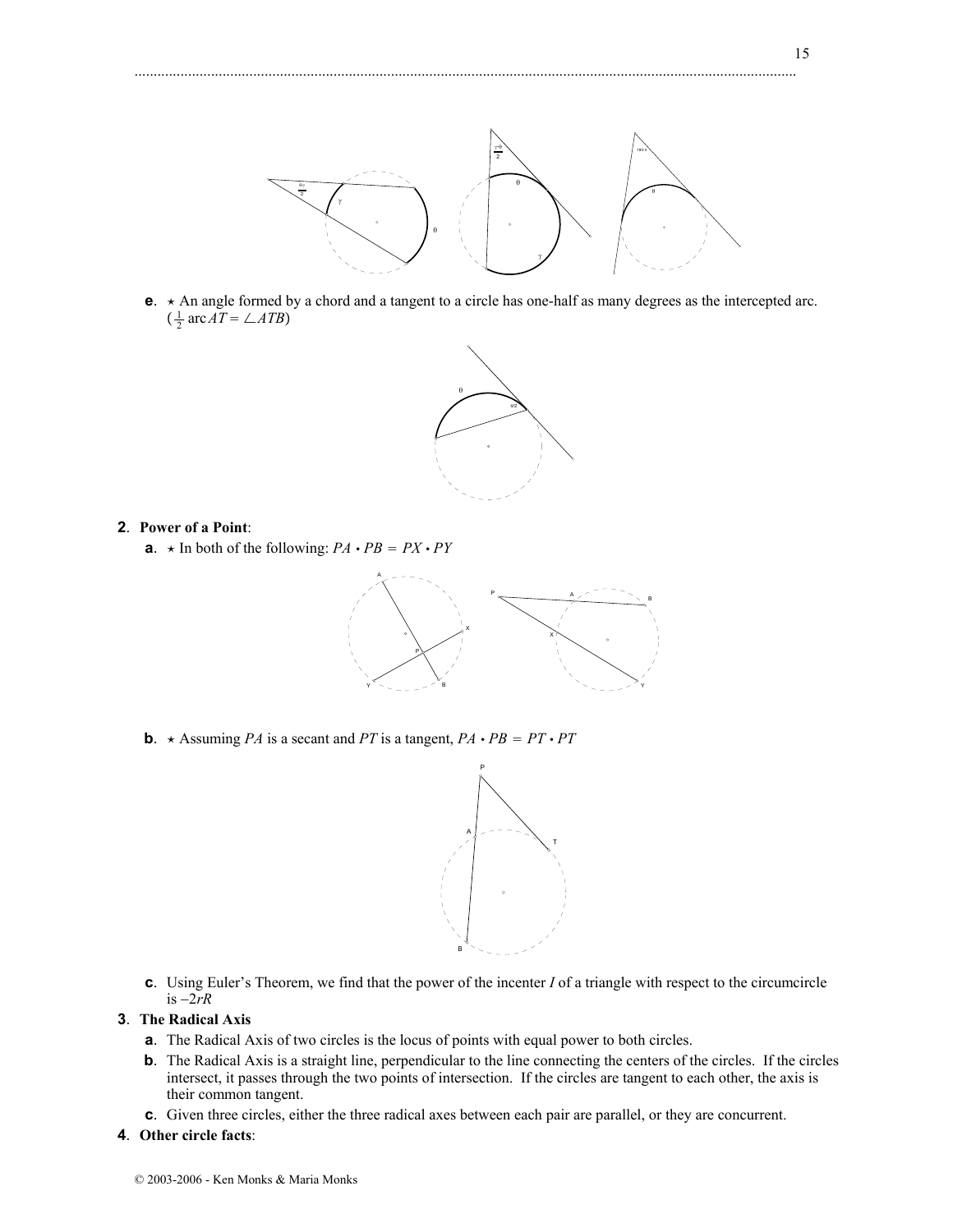15



**e**.  $\star$  An angle formed by a chord and a tangent to a circle has one-half as many degrees as the intercepted arc.  $\left(\frac{1}{2} \operatorname{arc} AT = \angle ATB\right)$ 



#### **2**. **Power of a Point**:

**a**.  $\star$  In both of the following:  $PA \cdot PB = PX \cdot PY$ 



**b**.  $\star$  Assuming *PA* is a secant and *PT* is a tangent, *PA*  $\cdot$  *PB* = *PT*  $\cdot$  *PT* 



**c**. Using Euler's Theorem, we find that the power of the incenter *I* of a triangle with respect to the circumcircle is  $-2rR$ 

### **3**. **The Radical Axis**

- **a**. The Radical Axis of two circles is the locus of points with equal power to both circles.
- **b**. The Radical Axis is a straight line, perpendicular to the line connecting the centers of the circles. If the circles intersect, it passes through the two points of intersection. If the circles are tangent to each other, the axis is their common tangent.
- **c**. Given three circles, either the three radical axes between each pair are parallel, or they are concurrent.
- **4**. **Other circle facts**: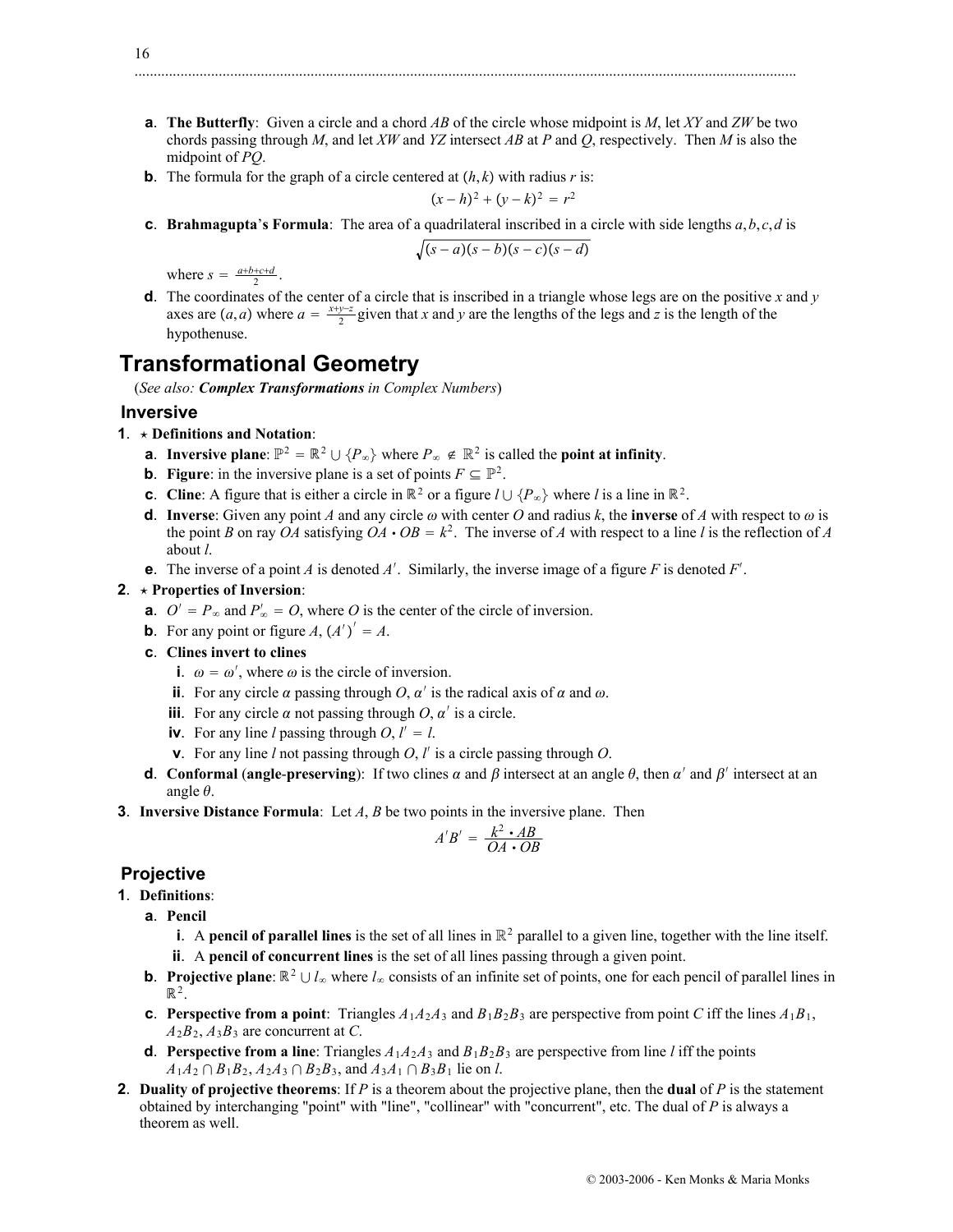**a**. **The Butterfly**: Given a circle and a chord *AB* of the circle whose midpoint is *M*, let *XY* and *ZW* be two chords passing through *M*, and let *XW* and *YZ* intersect *AB* at *P* and *Q*, respectively. Then *M* is also the midpoint of *PQ*.

.............................................................................................................................................................................

**b**. The formula for the graph of a circle centered at  $(h, k)$  with radius *r* is:

$$
(x-h)^2 + (y-k)^2 = r^2
$$

**c**. **Brahmagupta**'**s Formula**: The area of a quadrilateral inscribed in a circle with side lengths *a*,*b*, *c*,*d* is

$$
\sqrt{(s-a)(s-b)(s-c)(s-d)}
$$

where  $s = \frac{a+b+c+d}{2}$ .

**d**. The coordinates of the center of a circle that is inscribed in a triangle whose legs are on the positive *x* and *y* axes are  $(a, a)$  where  $a = \frac{x+y-z}{2}$  given that *x* and *y* are the lengths of the legs and *z* is the length of the hypothenuse.

# **Transformational Geometry**

(*See also: Complex Transformations in Complex Numbers*)

### **Inversive**

- **1**. **Definitions and Notation**:
	- **a**. **Inversive plane**:  $\mathbb{P}^2 = \mathbb{R}^2 \cup \{P_{\infty}\}\$  where  $P_{\infty} \notin \mathbb{R}^2$  is called the **point at infinity**.
	- **b**. **Figure**: in the inversive plane is a set of points  $F \subseteq \mathbb{P}^2$ .
	- **c**. **Cline**: A figure that is either a circle in  $\mathbb{R}^2$  or a figure  $l \cup \{P_\infty\}$  where *l* is a line in  $\mathbb{R}^2$ .
	- **d**. **Inverse**: Given any point *A* and any circle  $\omega$  with center *O* and radius *k*, the **inverse** of *A* with respect to  $\omega$  is the point *B* on ray *OA* satisfying  $OA \cdot OB = k^2$ . The inverse of *A* with respect to a line *l* is the reflection of *A* about *l*.
	- **e**. The inverse of a point *A* is denoted *A'*. Similarly, the inverse image of a figure *F* is denoted *F'*.

### **2**. **Properties of Inversion**:

- **a**.  $O' = P_{\infty}$  and  $P'_{\infty} = O$ , where *O* is the center of the circle of inversion.
- **b**. For any point or figure  $A$ ,  $(A')' = A$ .
- **c**. **Clines invert to clines**
	- **i**.  $\omega = \omega'$ , where  $\omega$  is the circle of inversion.
	- **ii**. For any circle  $\alpha$  passing through  $O, \alpha'$  is the radical axis of  $\alpha$  and  $\omega$ .
	- **iii**. For any circle  $\alpha$  not passing through *O*,  $\alpha'$  is a circle.
	- **iv**. For any line *l* passing through  $O, l' = l$ .
	- **v**. For any line *l* not passing through *O*, *l* is a circle passing through *O*.
- **d**. **Conformal** (**angle-preserving**): If two clines  $\alpha$  and  $\beta$  intersect at an angle  $\theta$ , then  $\alpha'$  and  $\beta'$  intersect at an angle  $\theta$ .
- **3**. **Inversive Distance Formula**: Let *A*, *B* be two points in the inversive plane. Then

$$
A'B' = \frac{k^2 \cdot AB}{OA \cdot OB}
$$

# **Projective**

- **1**. **Definitions**:
	- **a**. **Pencil**
		- **i**. A **pencil of parallel lines** is the set of all lines in  $\mathbb{R}^2$  parallel to a given line, together with the line itself.
		- **ii**. A **pencil of concurrent lines** is the set of all lines passing through a given point.
	- **b**. **Projective plane**:  $\mathbb{R}^2 \cup l_\infty$  where  $l_\infty$  consists of an infinite set of points, one for each pencil of parallel lines in  $\mathbb{R}^2$ .
	- **c**. Perspective from a point: Triangles  $A_1A_2A_3$  and  $B_1B_2B_3$  are perspective from point *C* iff the lines  $A_1B_1$ ,  $A_2B_2$ ,  $A_3B_3$  are concurrent at *C*.
	- **d**. **Perspective from a line**: Triangles  $A_1A_2A_3$  and  $B_1B_2B_3$  are perspective from line *l* iff the points  $A_1A_2 \cap B_1B_2$ ,  $A_2A_3 \cap B_2B_3$ , and  $A_3A_1 \cap B_3B_1$  lie on *l*.
- **2**. **Duality of projective theorems**: If *P* is a theorem about the projective plane, then the **dual** of *P* is the statement obtained by interchanging "point" with "line", "collinear" with "concurrent", etc. The dual of *P* is always a theorem as well.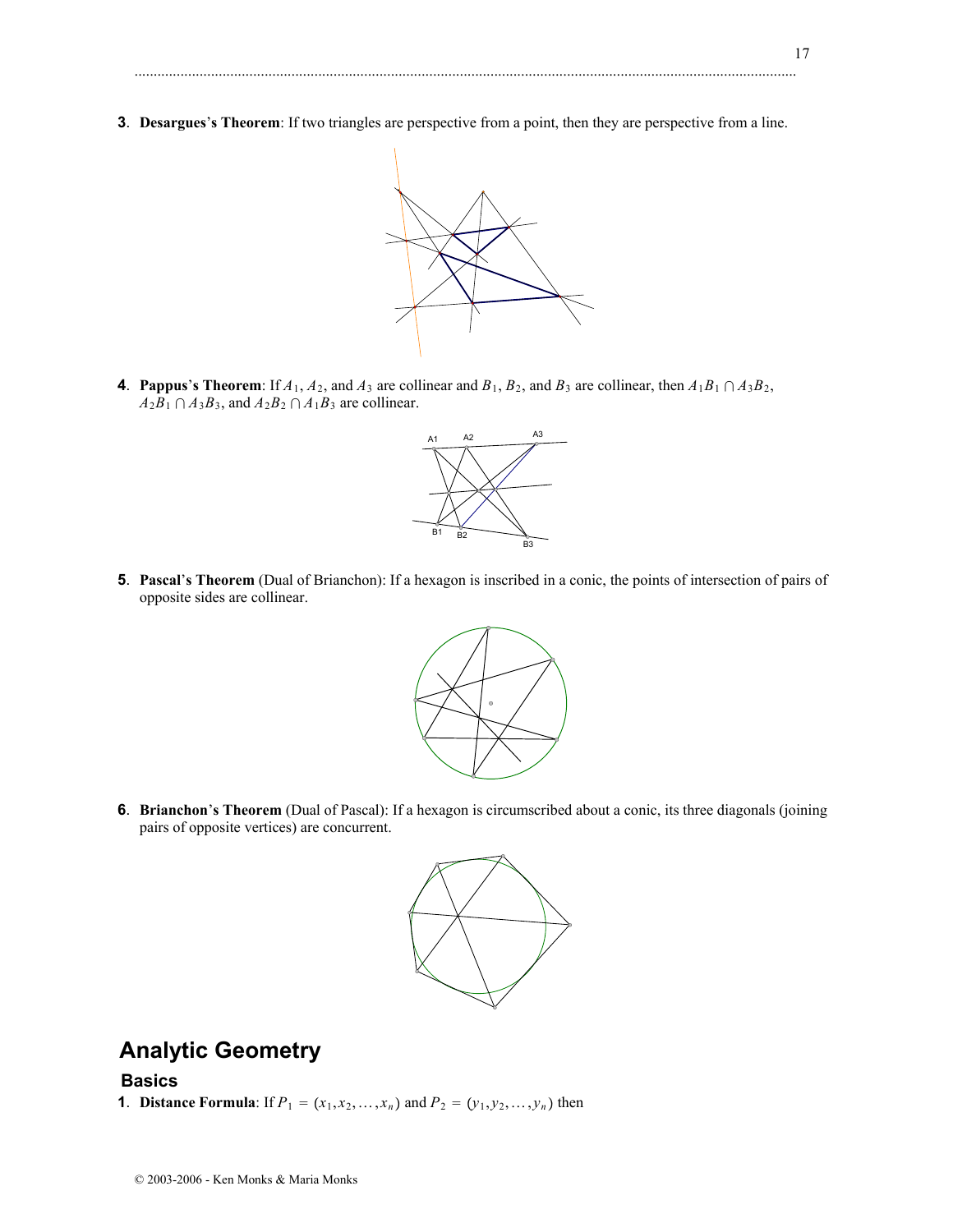**3**. **Desargues**'**s Theorem**: If two triangles are perspective from a point, then they are perspective from a line.

.............................................................................................................................................................................



**4**. **Pappus**'s Theorem: If  $A_1$ ,  $A_2$ , and  $A_3$  are collinear and  $B_1$ ,  $B_2$ , and  $B_3$  are collinear, then  $A_1B_1 \cap A_3B_2$ ,  $A_2B_1 \cap A_3B_3$ , and  $A_2B_2 \cap A_1B_3$  are collinear.



**5**. **Pascal**'**s Theorem** (Dual of Brianchon): If a hexagon is inscribed in a conic, the points of intersection of pairs of opposite sides are collinear.



**6**. **Brianchon**'**s Theorem** (Dual of Pascal): If a hexagon is circumscribed about a conic, its three diagonals (joining pairs of opposite vertices) are concurrent.



# **Analytic Geometry**

# **Basics**

**1**. **Distance Formula**: If  $P_1 = (x_1, x_2, ..., x_n)$  and  $P_2 = (y_1, y_2, ..., y_n)$  then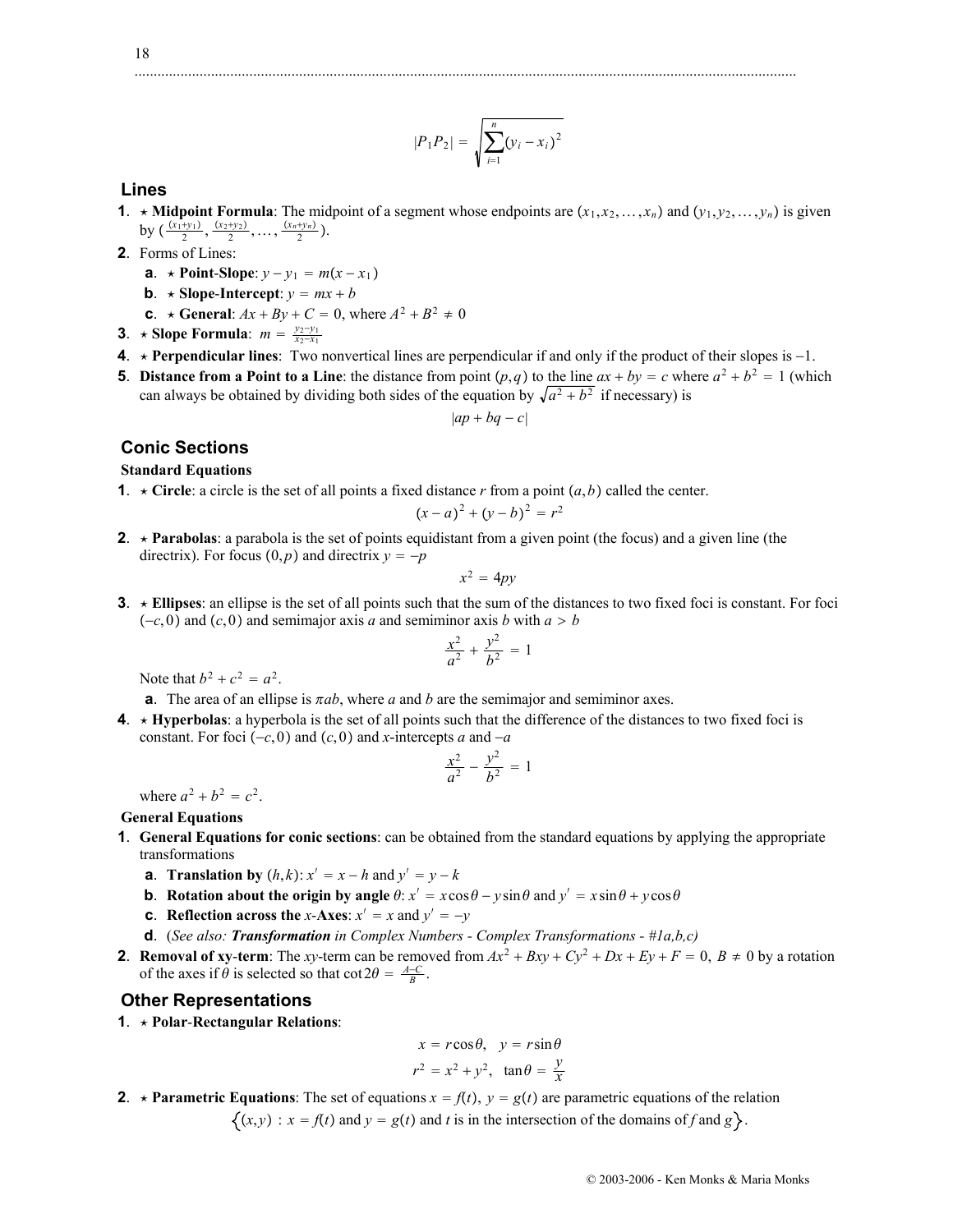#### $|P_1P_2| = \sqrt{\sum_{i=1}^n}$ *n*  $(y_i - x_i)^2$

.............................................................................................................................................................................

### **Lines**

- **1**. **\* Midpoint Formula**: The midpoint of a segment whose endpoints are  $(x_1, x_2, \ldots, x_n)$  and  $(y_1, y_2, \ldots, y_n)$  is given by  $\left(\frac{(x_1+y_1)}{2}, \frac{(x_2+y_2)}{2}, \ldots, \frac{(x_n+y_n)}{2}\right)$ .
- **2**. Forms of Lines:
	- **a**.  $\star$  **Point-Slope**:  $y y_1 = m(x x_1)$
	- **b**.  $\star$  **Slope-Intercept**:  $y = mx + b$
	- **c**.  $\star$  **General**:  $Ax + By + C = 0$ , where  $A^2 + B^2 \neq 0$
- **3**. **\*** Slope Formula:  $m = \frac{y_2 y_1}{x_2 x_1}$
- **4.**  $\star$  **Perpendicular lines**: Two nonvertical lines are perpendicular if and only if the product of their slopes is  $-1$ .
- **5**. **Distance from a Point to a Line**: the distance from point  $(p,q)$  to the line  $ax + by = c$  where  $a^2 + b^2 = 1$  (which can always be obtained by dividing both sides of the equation by  $\sqrt{a^2 + b^2}$  if necessary) is

 $|ap + bq - c|$ 

### **Conic Sections**

#### **Standard Equations**

**1**.  $\star$  **Circle**: a circle is the set of all points a fixed distance *r* from a point  $(a, b)$  called the center.

$$
(x-a)^2 + (y-b)^2 = r^2
$$

**2.**  $\star$  **Parabolas**: a parabola is the set of points equidistant from a given point (the focus) and a given line (the directrix). For focus  $(0, p)$  and directrix  $y = -p$ 

$$
x^2 = 4py
$$

**3**. **Ellipses**: an ellipse is the set of all points such that the sum of the distances to two fixed foci is constant. For foci  $(-c, 0)$  and  $(c, 0)$  and semimajor axis *a* and semiminor axis *b* with  $a > b$ 

$$
\frac{x^2}{a^2} + \frac{y^2}{b^2} = 1
$$

Note that  $b^2 + c^2 = a^2$ .

- **a**. The area of an ellipse is  $\pi ab$ , where *a* and *b* are the semimajor and semiminor axes.
- **4**. **Hyperbolas**: a hyperbola is the set of all points such that the difference of the distances to two fixed foci is constant. For foci  $(-c, 0)$  and  $(c, 0)$  and *x*-intercepts *a* and  $-a$

$$
\frac{x^2}{a^2} - \frac{y^2}{b^2} = 1
$$

where  $a^2 + b^2 = c^2$ .

#### **General Equations**

- **1**. **General Equations for conic sections**: can be obtained from the standard equations by applying the appropriate transformations
	- **a**. **Translation by**  $(h, k): x' = x h$  and  $y' = y k$
	- **b**. **Rotation about the origin by angle**  $\theta$ :  $x' = x \cos \theta y \sin \theta$  and  $y' = x \sin \theta + y \cos \theta$
	- **c**. **Reflection across the** *x*-**Axes**:  $x' = x$  and  $y' = -y$
	- **d**. (*See also: Transformation in Complex Numbers Complex Transformations #1a,b,c)*
- **2**. **Removal of xy-term**: The *xy*-term can be removed from  $Ax^2 + Bxy + Cy^2 + Dx + Ey + F = 0$ ,  $B \ne 0$  by a rotation of the axes if  $\theta$  is selected so that  $\cot 2\theta = \frac{A-C}{B}$ .

### **Other Representations**

**1**. **Polar**-**Rectangular Relations**:

$$
x = r\cos\theta, \quad y = r\sin\theta
$$
  

$$
r^2 = x^2 + y^2, \quad \tan\theta = \frac{y}{x}
$$

**2. \* Parametric Equations**: The set of equations  $x = f(t)$ ,  $y = g(t)$  are parametric equations of the relation

 $\{(x,y) : x = f(t) \text{ and } y = g(t) \text{ and } t \text{ is in the intersection of the domains of } f \text{ and } g\}.$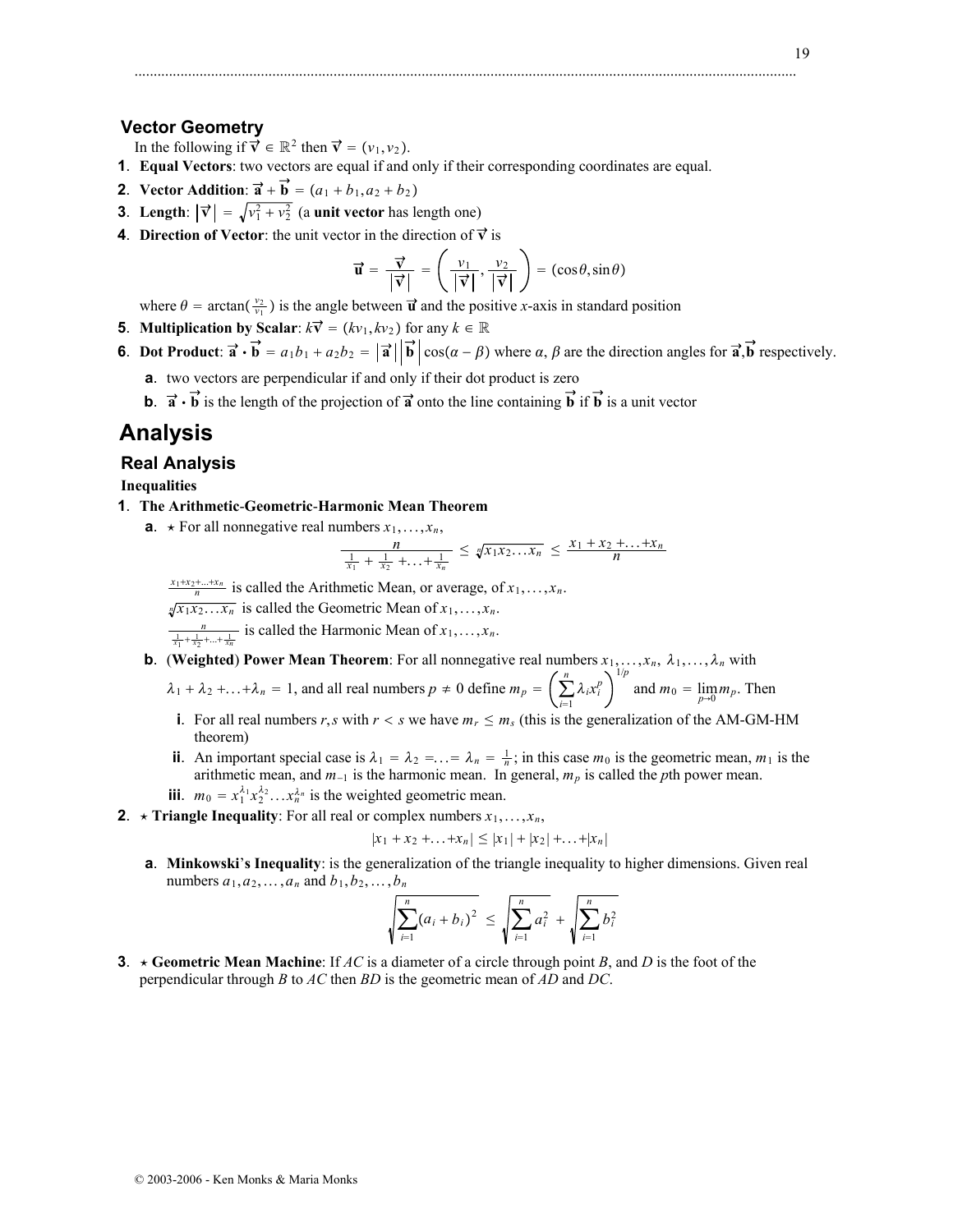#### 19

### **Vector Geometry**

In the following if  $\vec{v} \in \mathbb{R}^2$  then  $\vec{v} = (v_1, v_2)$ .

- **1**. **Equal Vectors**: two vectors are equal if and only if their corresponding coordinates are equal.
- **2**. **Vector Addition**:  $\vec{a} + \vec{b} = (a_1 + b_1, a_2 + b_2)$
- **3**. **Length**:  $|\vec{v}| = \sqrt{v_1^2 + v_2^2}$  (a **unit vector** has length one)
- **4**. **Direction of Vector**: the unit vector in the direction of  $\vec{v}$  is

$$
\vec{\mathbf{u}} = \frac{\vec{\mathbf{v}}}{|\vec{\mathbf{v}}|} = \left(\frac{v_1}{|\vec{\mathbf{v}}|}, \frac{v_2}{|\vec{\mathbf{v}}|}\right) = (\cos \theta, \sin \theta)
$$

.............................................................................................................................................................................

where  $\theta = \arctan(\frac{v_2}{v_1})$  is the angle between  $\vec{u}$  and the positive *x*-axis in standard position

- **5**. **Multiplication by Scalar**:  $k\vec{v} = (kv_1, kv_2)$  for any  $k \in \mathbb{R}$
- **6**. **Dot Product**:  $\vec{a} \cdot \vec{b} = a_1b_1 + a_2b_2 = |\vec{a}| |\vec{b}| \cos(\alpha \beta)$  where  $\alpha, \beta$  are the direction angles for  $\vec{a}, \vec{b}$  respectively.
	- **a**. two vectors are perpendicular if and only if their dot product is zero
	- **b**.  $\vec{a} \cdot \vec{b}$  is the length of the projection of  $\vec{a}$  onto the line containing  $\vec{b}$  if  $\vec{b}$  is a unit vector

# **Analysis**

#### **Real Analysis**

**Inequalities**

- **1**. **The Arithmetic**-**Geometric**-**Harmonic Mean Theorem**
	- **a**.  $\star$  For all nonnegative real numbers  $x_1, \ldots, x_n$ ,

$$
\frac{n}{\frac{1}{x_1} + \frac{1}{x_2} + \ldots + \frac{1}{x_n}} \leq \sqrt[n]{x_1 x_2 \ldots x_n} \leq \frac{x_1 + x_2 + \ldots + x_n}{n}
$$

 $\frac{x_1 + x_2 + \ldots + x_n}{n}$  is called the Arithmetic Mean, or average, of  $x_1, \ldots, x_n$ .

 $\sqrt[n]{x_1 x_2 \dots x_n}$  is called the Geometric Mean of  $x_1, \dots, x_n$ .

 $\frac{n}{\frac{1}{x_1} + \frac{1}{x_2} + \ldots + \frac{1}{x_n}}$  is called the Harmonic Mean of  $x_1, \ldots, x_n$ .

**b**. (Weighted) Power Mean Theorem: For all nonnegative real numbers  $x_1, \ldots, x_n$ ,  $\lambda_1, \ldots, \lambda_n$  with

$$
\lambda_1 + \lambda_2 + ... + \lambda_n = 1
$$
, and all real numbers  $p \neq 0$  define  $m_p = \left(\sum_{i=1}^n \lambda_i x_i^p\right)^{-r}$  and  $m_0 = \lim_{p \to 0} m_p$ . Then

- **i**. For all real numbers *r*,*s* with  $r < s$  we have  $m_r \le m_s$  (this is the generalization of the AM-GM-HM theorem)
- **ii**. An important special case is  $\lambda_1 = \lambda_2 = \ldots = \lambda_n = \frac{1}{n}$ ; in this case  $m_0$  is the geometric mean,  $m_1$  is the arithmetic mean, and  $m_{-1}$  is the harmonic mean. In general,  $m_p$  is called the *p*th power mean.
- **iii**.  $m_0 = x_1^{\lambda_1} x_2^{\lambda_2} \dots x_n^{\lambda_n}$  is the weighted geometric mean.
- **2**.  $\star$  **Triangle Inequality**: For all real or complex numbers  $x_1, \ldots, x_n$ ,

$$
|x_1 + x_2 + \ldots + x_n| \leq |x_1| + |x_2| + \ldots + |x_n|
$$

**a**. **Minkowski**'**s Inequality**: is the generalization of the triangle inequality to higher dimensions. Given real numbers  $a_1, a_2, ..., a_n$  and  $b_1, b_2, ..., b_n$ 

$$
\sqrt{\sum_{i=1}^{n} (a_i + b_i)^2} \le \sqrt{\sum_{i=1}^{n} a_i^2} + \sqrt{\sum_{i=1}^{n} b_i^2}
$$

**3**.  $\star$  Geometric Mean Machine: If *AC* is a diameter of a circle through point *B*, and *D* is the foot of the perpendicular through *B* to *AC* then *BD* is the geometric mean of *AD* and *DC*.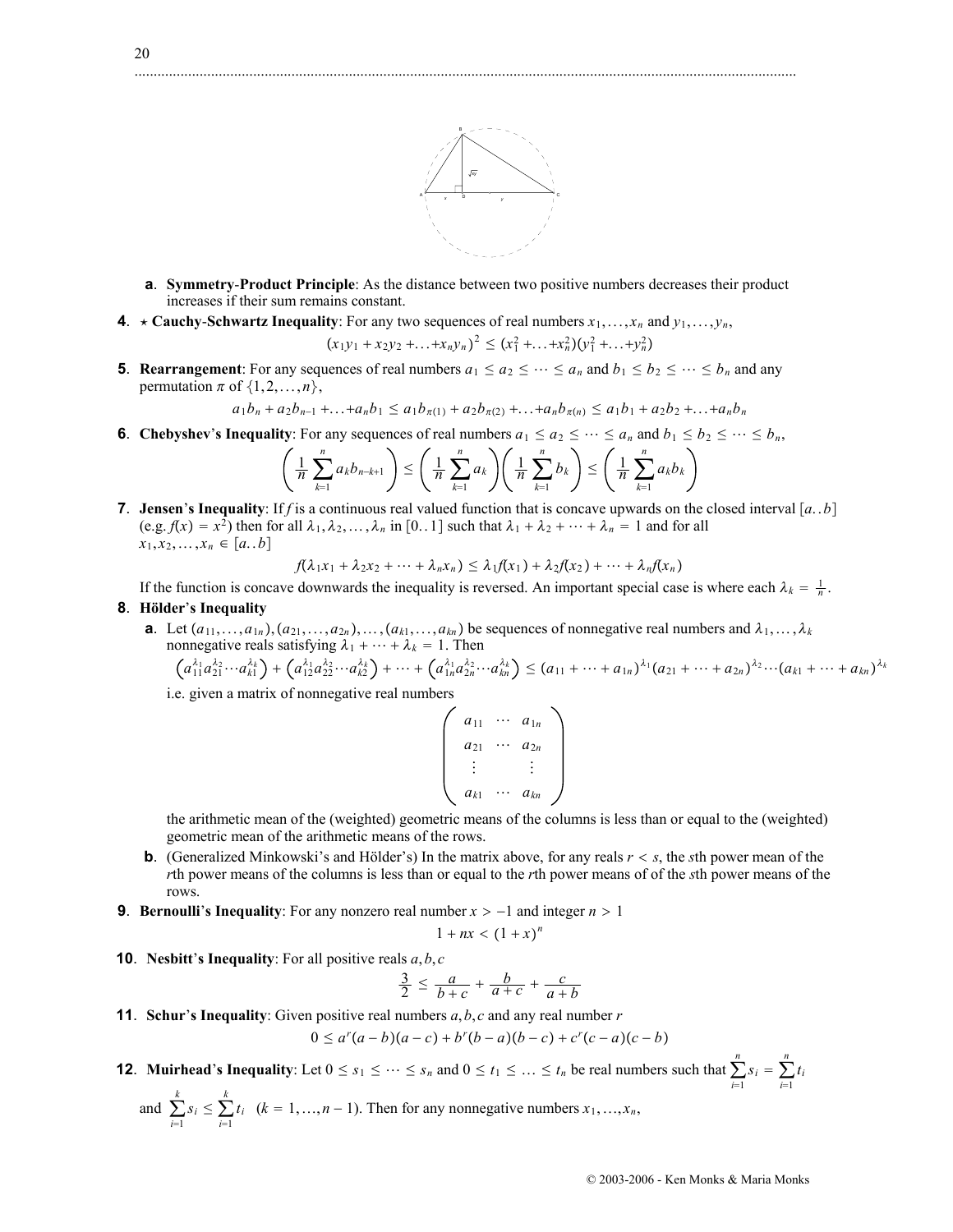

- **a**. **Symmetry**-**Product Principle**: As the distance between two positive numbers decreases their product increases if their sum remains constant.
- **4**.  $\star$  **Cauchy-Schwartz Inequality**: For any two sequences of real numbers  $x_1, \ldots, x_n$  and  $y_1, \ldots, y_n$ ,

$$
(x_1y_1 + x_2y_2 + ... + x_ny_n)^2 \le (x_1^2 + ... + x_n^2)(y_1^2 + ... + y_n^2)
$$

**5**. **Rearrangement**: For any sequences of real numbers  $a_1 \le a_2 \le \cdots \le a_n$  and  $b_1 \le b_2 \le \cdots \le b_n$  and any permutation  $\pi$  of  $\{1, 2, ..., n\}$ ,

 $a_1b_n + a_2b_{n-1} + ... + a_nb_1 \le a_1b_{\pi(1)} + a_2b_{\pi(2)} + ... + a_nb_{\pi(n)} \le a_1b_1 + a_2b_2 + ... + a_nb_n$ 

**6**. **Chebyshev**'**s Inequality**: For any sequences of real numbers  $a_1 \le a_2 \le \cdots \le a_n$  and  $b_1 \le b_2 \le \cdots \le b_n$ ,

$$
\left(\frac{1}{n}\sum_{k=1}^n a_k b_{n-k+1}\right) \le \left(\frac{1}{n}\sum_{k=1}^n a_k\right) \left(\frac{1}{n}\sum_{k=1}^n b_k\right) \le \left(\frac{1}{n}\sum_{k=1}^n a_k b_k\right)
$$

**7**. **Jensen**'s **Inequality**: If *f* is a continuous real valued function that is concave upwards on the closed interval [a. .b] (e.g.  $f(x) = x^2$ ) then for all  $\lambda_1, \lambda_2, ..., \lambda_n$  in [0..1] such that  $\lambda_1 + \lambda_2 + ... + \lambda_n = 1$  and for all  $x_1, x_2, \ldots, x_n \in [a, b]$ 

$$
f(\lambda_1x_1+\lambda_2x_2+\cdots+\lambda_nx_n)\leq \lambda_1f(x_1)+\lambda_2f(x_2)+\cdots+\lambda_nf(x_n)
$$

If the function is concave downwards the inequality is reversed. An important special case is where each  $\lambda_k = \frac{1}{n}$ . **8**. **Hölder**'**s Inequality**

- - **a**. Let  $(a_{11},...,a_{1n})$ ,  $(a_{21},...,a_{2n})$ ,  $\dots$ ,  $(a_{k1},...,a_{kn})$  be sequences of nonnegative real numbers and  $\lambda_1,...,\lambda_k$ nonnegative reals satisfying  $\lambda_1 + \cdots + \lambda_k = 1$ . Then

$$
(a_{11}^{\lambda_1}a_{21}^{\lambda_2}\cdots a_{k1}^{\lambda_k}) + (a_{12}^{\lambda_1}a_{22}^{\lambda_2}\cdots a_{k2}^{\lambda_k}) + \cdots + (a_{1n}^{\lambda_1}a_{2n}^{\lambda_2}\cdots a_{kn}^{\lambda_k}) \leq (a_{11} + \cdots + a_{1n})^{\lambda_1}(a_{21} + \cdots + a_{2n})^{\lambda_2}\cdots (a_{k1} + \cdots + a_{kn})^{\lambda_k}
$$

i.e. given a matrix of nonnegative real numbers

$$
\left(\begin{array}{ccc} a_{11} & \cdots & a_{1n} \\ a_{21} & \cdots & a_{2n} \\ \vdots & & \vdots \\ a_{k1} & \cdots & a_{kn} \end{array}\right)
$$

the arithmetic mean of the (weighted) geometric means of the columns is less than or equal to the (weighted) geometric mean of the arithmetic means of the rows.

- **b**. (Generalized Minkowski's and Hölder's) In the matrix above, for any reals  $r < s$ , the *s*th power mean of the *r*th power means of the columns is less than or equal to the *r*th power means of of the *s*th power means of the rows.
- **9**. **Bernoulli**'s **Inequality**: For any nonzero real number  $x > -1$  and integer  $n > 1$

$$
1 + nx < (1 + x)^n
$$

**10**. **Nesbitt**'**s Inequality**: For all positive reals *a*,*b*, *c*

$$
\frac{3}{2} \le \frac{a}{b+c} + \frac{b}{a+c} + \frac{c}{a+b}
$$

**11**. **Schur**'**s Inequality**: Given positive real numbers *a*,*b*, *c* and any real number *r*

$$
0 \le a^r(a-b)(a-c) + b^r(b-a)(b-c) + c^r(c-a)(c-b)
$$

- **12. Muirhead's Inequality**: Let  $0 \le s_1 \le \cdots \le s_n$  and  $0 \le t_1 \le \cdots \le t_n$  be real numbers such that  $\sum_{i=1}^n$  $\sum_{i=1}^{n} s_i = \sum_{i=1}^{n}$  $\sum_{i=1}^{n} t_i$ 
	- and  $\sum_{i=1}$  $\sum_{i=1}^{k} s_i \leq \sum_{i=1}^{k}$  $\sum_{i=1}^{k} t_i$  (*k* = 1, ..., *n* - 1). Then for any nonnegative numbers *x*<sub>1</sub>, ..., *x<sub>n</sub>*,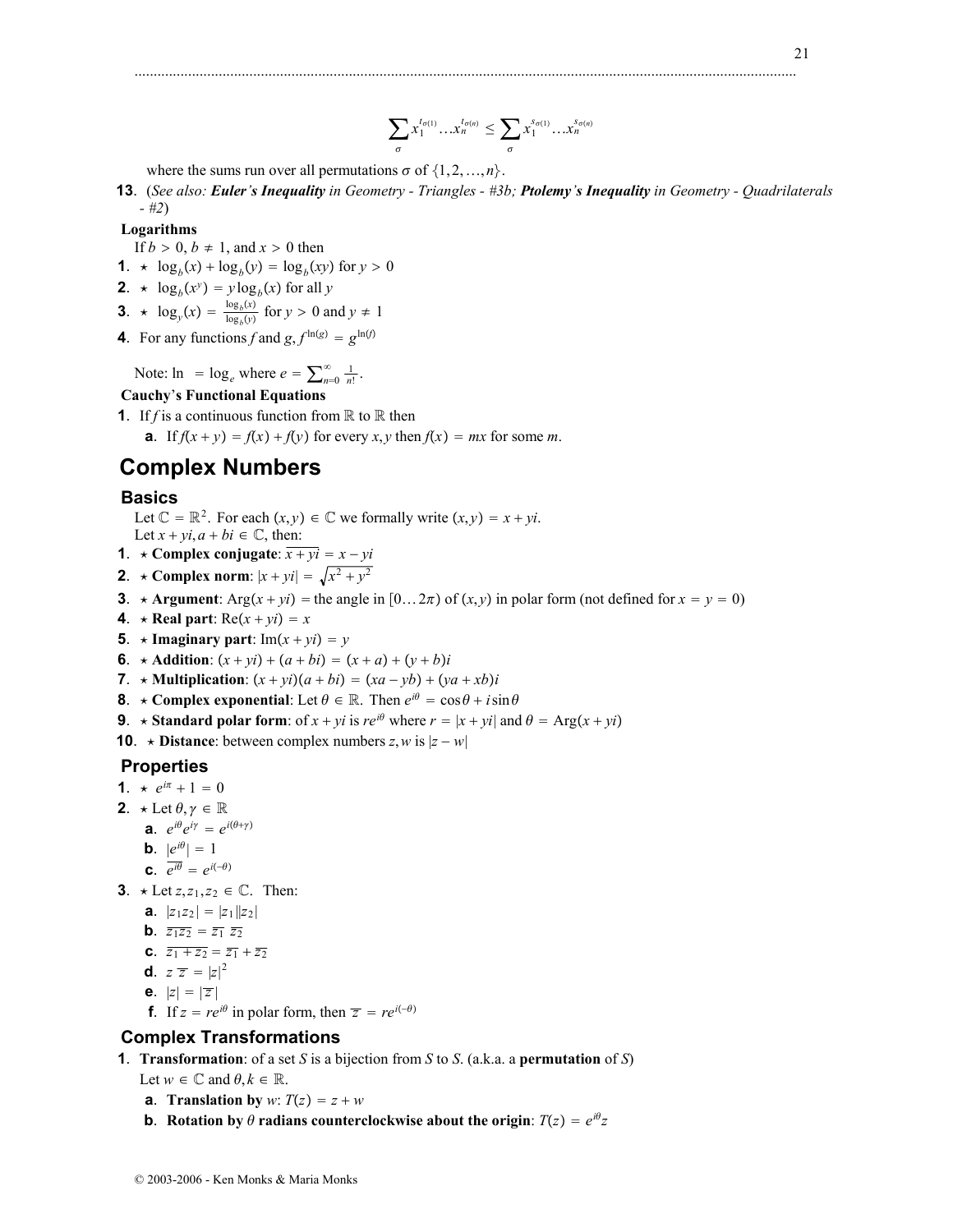#### $\sum$  $\sigma$  $x_1^{t_{\sigma(1)}}\dots x_n^{t_{\sigma(n)}} \leq \sum$  $\sigma$  $x_1^{s_{\sigma(1)}} \dots x_n^{s_{\sigma(n)}}$

.............................................................................................................................................................................

where the sums run over all permutations  $\sigma$  of  $\{1, 2, ..., n\}$ .

**13**. (*See also: Euler's Inequality in Geometry - Triangles - #3b; Ptolemy's Inequality in Geometry - Quadrilaterals - #2*)

# **Logarithms**

- If  $b > 0$ ,  $b \ne 1$ , and  $x > 0$  then
- **1**.  $\star \log_b(x) + \log_b(y) = \log_b(xy)$  for  $y > 0$
- **2**.  $\star \log_b(x^y) = y \log_b(x)$  for all *y*
- **3**.  $\star \log_y(x) = \frac{\log_b(x)}{\log_b(y)}$  for  $y > 0$  and  $y \neq 1$
- **4**. For any functions *f* and  $g$ ,  $f^{\ln(g)} = g^{\ln(f)}$

Note:  $\ln = \log_e$  where  $e = \sum_{n=0}^{\infty} \frac{1}{n!}$ .

# **Cauchy**'**s Functional Equations**

**1**. If *f* is a continuous function from  $\mathbb R$  to  $\mathbb R$  then **a**. If  $f(x + y) = f(x) + f(y)$  for every *x*, *y* then  $f(x) = mx$  for some *m*.

# **Complex Numbers**

### **Basics**

Let  $\mathbb{C} = \mathbb{R}^2$ . For each  $(x, y) \in \mathbb{C}$  we formally write  $(x, y) = x + yi$ . Let  $x + yi$ ,  $a + bi \in \mathbb{C}$ , then:

- **1**.  $\star$  Complex conjugate:  $\overline{x + yi} = x yi$
- **2**. **\*** Complex norm:  $|x + yi| = \sqrt{x^2 + y^2}$
- **3**. **\* Argument**: Arg $(x + yi)$  = the angle in  $[0 \dots 2\pi)$  of  $(x, y)$  in polar form (not defined for  $x = y = 0$ )
- **4**.  $\star$  **Real part**:  $Re(x + yi) = x$
- **5**.  $\star$  Imaginary part: Im $(x + yi) = y$
- **6**.  $\star$  **Addition**:  $(x + yi) + (a + bi) = (x + a) + (y + b)i$
- **7**.  $\star$  **Multiplication**:  $(x + yi)(a + bi) = (xa yb) + (ya + xb)i$
- **8**.  $\star$  **Complex exponential**: Let  $\theta \in \mathbb{R}$ . Then  $e^{i\theta} = \cos \theta + i \sin \theta$
- **9**. **\*** Standard polar form: of  $x + yi$  is  $re^{i\theta}$  where  $r = |x + yi|$  and  $\theta = \text{Arg}(x + yi)$

**10**.  $\star$  **Distance**: between complex numbers *z*, *w* is  $|z - w|$ 

# **Properties**

- **1**.  $\star e^{i\pi} + 1 = 0$
- **2**.  $\star$  Let  $\theta, \gamma \in \mathbb{R}$ 
	- **a**.  $e^{i\theta}e^{i\gamma} = e^{i(\theta+\gamma)}$
	- **b**.  $|e^{i\theta}| = 1$
	- **c**.  $\overline{e^{i\theta}} = e^{i(-\theta)}$
- **3**.  $\star$  Let *z*,*z*<sub>1</sub>,*z*<sub>2</sub>  $\in \mathbb{C}$ . Then:
	- **a**.  $|z_1z_2| = |z_1||z_2|$
	- **b**.  $\overline{z_1 z_2} = \overline{z_1} \ \overline{z_2}$
	- **c**.  $\overline{z_1 + z_2} = \overline{z_1} + \overline{z_2}$
	- **d**.  $z \overline{z} = |z|^2$
	- **e**.  $|z| = |\overline{z}|$
	- **f**. If  $z = re^{i\theta}$  in polar form, then  $\overline{z} = re^{i(-\theta)}$

# **Complex Transformations**

**1**. **Transformation**: of a set *S* is a bijection from *S* to *S*. (a.k.a. a **permutation** of *S*)

Let  $w \in \mathbb{C}$  and  $\theta, k \in \mathbb{R}$ .

- **a**. **Translation by** *w*:  $T(z) = z + w$
- **b**. Rotation by  $\theta$  radians counterclockwise about the origin:  $T(z) = e^{i\theta}z$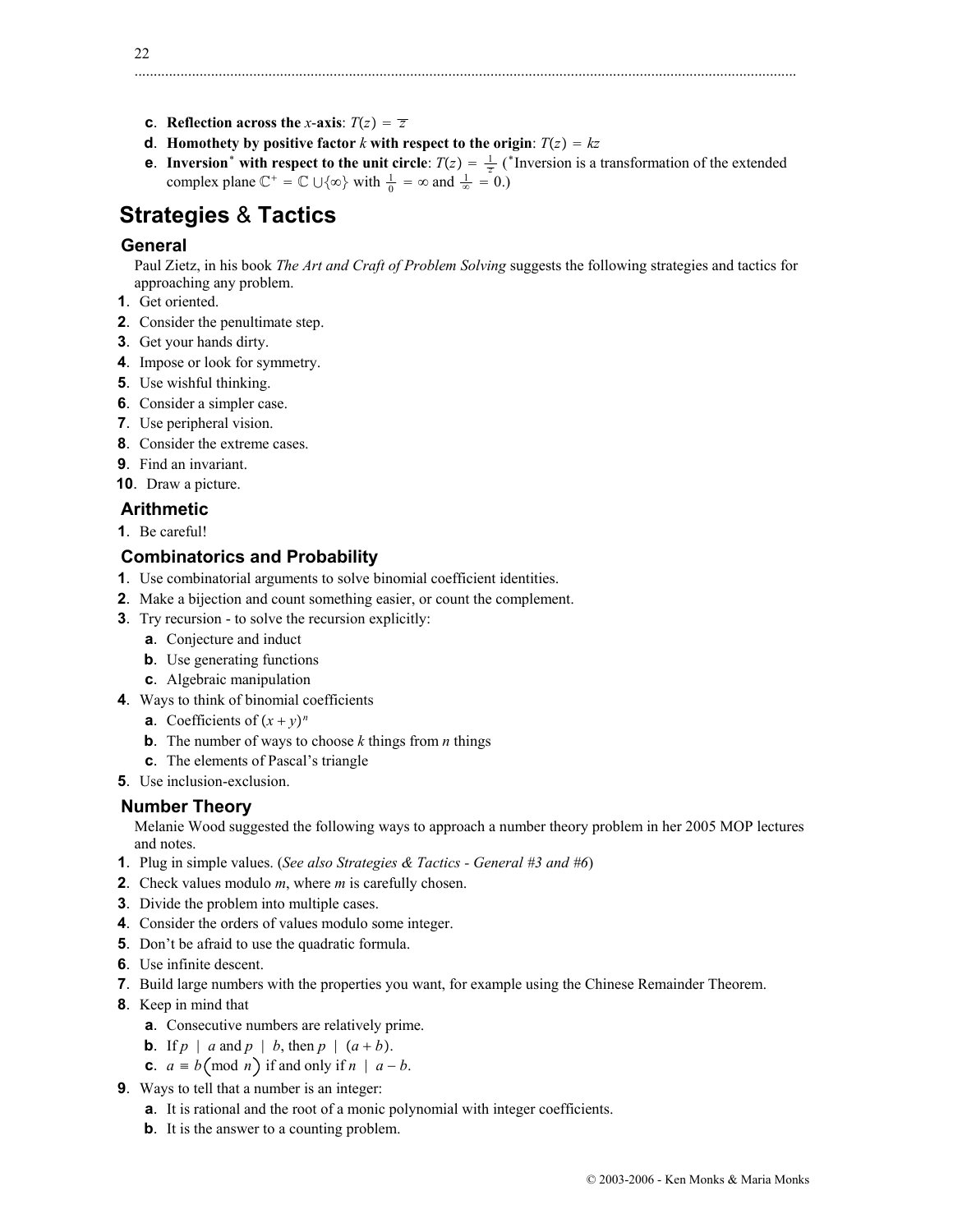- **c**. **Reflection across the** *x*-**axis**:  $T(z) = \overline{z}$
- **d**. **Homothety by positive factor** *k* with respect to the origin:  $T(z) = kz$
- **e**. **Inversion**<sup>\*</sup> with respect to the unit circle:  $T(z) = \frac{1}{z}$  (\*Inversion is a transformation of the extended complex plane  $\mathbb{C}^+ = \mathbb{C} \cup \{\infty\}$  with  $\frac{1}{0} = \infty$  and  $\frac{1}{\infty} = 0$ .)

# **Strategies** & **Tactics**

# **General**

Paul Zietz, in his book *The Art and Craft of Problem Solving* suggests the following strategies and tactics for approaching any problem.

- **1**. Get oriented.
- **2**. Consider the penultimate step.
- **3**. Get your hands dirty.
- **4**. Impose or look for symmetry.
- **5**. Use wishful thinking.
- **6**. Consider a simpler case.
- **7**. Use peripheral vision.
- **8**. Consider the extreme cases.
- **9**. Find an invariant.

### **10**. Draw a picture.

- **Arithmetic**
- **1**. Be careful!

# **Combinatorics and Probability**

- **1**. Use combinatorial arguments to solve binomial coefficient identities.
- **2**. Make a bijection and count something easier, or count the complement.
- **3**. Try recursion to solve the recursion explicitly:
	- **a**. Conjecture and induct
	- **b**. Use generating functions
	- **c**. Algebraic manipulation
- **4**. Ways to think of binomial coefficients
	- **a**. Coefficients of  $(x + y)^n$
	- **b**. The number of ways to choose *k* things from *n* things
	- **c**. The elements of Pascal's triangle
- **5**. Use inclusion-exclusion.

### **Number Theory**

Melanie Wood suggested the following ways to approach a number theory problem in her 2005 MOP lectures and notes.

- **1**. Plug in simple values. (*See also Strategies & Tactics General #3 and #6*)
- **2**. Check values modulo *m*, where *m* is carefully chosen.
- **3**. Divide the problem into multiple cases.
- **4**. Consider the orders of values modulo some integer.
- **5**. Don't be afraid to use the quadratic formula.
- **6**. Use infinite descent.
- **7**. Build large numbers with the properties you want, for example using the Chinese Remainder Theorem.
- **8**. Keep in mind that
	- **a**. Consecutive numbers are relatively prime.
	- **b**. If  $p \mid a$  and  $p \mid b$ , then  $p \mid (a + b)$ .
	- **c**.  $a \equiv b \pmod{n}$  if and only if  $n \mid a-b$ .
- **9**. Ways to tell that a number is an integer:
	- **a**. It is rational and the root of a monic polynomial with integer coefficients.
	- **b**. It is the answer to a counting problem.